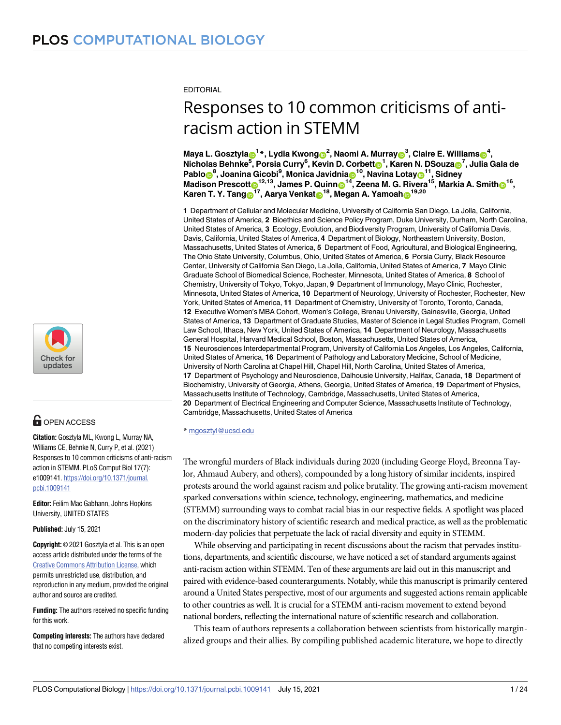**EDITORIAL** 

# Responses to 10 common criticisms of antiracism action in STEMM

Maya L. Gosztyla⊕<sup>1</sup> \*, Lydia Kwong⋒<sup>2</sup>, Naomi A. Murray⋒<sup>3</sup>, Claire E. Williams⋒<sup>4</sup>, Nicholas Behnke<sup>5</sup>, Porsia Curry<sup>6</sup>, Kevin D. Corbett**o<sup>1</sup>, Karen N. DSouzao<sup>7</sup>, Julia Gala** de  $\mathbf{P}$ ablo $\mathbf{O}^8$ , Joanina Gicobi<sup>9</sup>, Monica Javidnia $\mathbf{O}^{10}$ , Navina Lotay $\mathbf{O}^{11}$ , Sidney  $^{\text{14}}$ , Zeena **M.** G. Rivera<sup>15</sup>, Markia A. Smith $\textbf{O}^{16}$ ,  $^{\text{16}}$ , James P. Quinn $\textbf{O}^{14}$ , Zeena M. G. Rivera<sup>15</sup>, Markia A. Smith $\textbf{O}^{16}$ , **Karen T. Y. Tang**<sup>17</sup>, Aarya Venkat<sub><sup>18</sup>, Megan A. Yamoah 19,20</sub>

**1** Department of Cellular and Molecular Medicine, University of California San Diego, La Jolla, California, United States of America, **2** Bioethics and Science Policy Program, Duke University, Durham, North Carolina, United States of America, **3** Ecology, Evolution, and Biodiversity Program, University of California Davis, Davis, California, United States of America, **4** Department of Biology, Northeastern University, Boston, Massachusetts, United States of America, **5** Department of Food, Agricultural, and Biological Engineering, The Ohio State University, Columbus, Ohio, United States of America, **6** Porsia Curry, Black Resource Center, University of California San Diego, La Jolla, California, United States of America, **7** Mayo Clinic Graduate School of Biomedical Science, Rochester, Minnesota, United States of America, **8** School of Chemistry, University of Tokyo, Tokyo, Japan, **9** Department of Immunology, Mayo Clinic, Rochester, Minnesota, United States of America, **10** Department of Neurology, University of Rochester, Rochester, New York, United States of America, **11** Department of Chemistry, University of Toronto, Toronto, Canada, **12** Executive Women's MBA Cohort, Women's College, Brenau University, Gainesville, Georgia, United States of America, **13** Department of Graduate Studies, Master of Science in Legal Studies Program, Cornell Law School, Ithaca, New York, United States of America, **14** Department of Neurology, Massachusetts General Hospital, Harvard Medical School, Boston, Massachusetts, United States of America, **15** Neurosciences Interdepartmental Program, University of California Los Angeles, Los Angeles, California, United States of America, **16** Department of Pathology and Laboratory Medicine, School of Medicine, University of North Carolina at Chapel Hill, Chapel Hill, North Carolina, United States of America, **17** Department of Psychology and Neuroscience, Dalhousie University, Halifax, Canada, **18** Department of Biochemistry, University of Georgia, Athens, Georgia, United States of America, **19** Department of Physics, Massachusetts Institute of Technology, Cambridge, Massachusetts, United States of America, **20** Department of Electrical Engineering and Computer Science, Massachusetts Institute of Technology, Cambridge, Massachusetts, United States of America

\* mgosztyl@ucsd.edu

The wrongful murders of Black individuals during 2020 (including George Floyd, Breonna Taylor, Ahmaud Aubery, and others), compounded by a long history of similar incidents, inspired protests around the world against racism and police brutality. The growing anti-racism movement sparked conversations within science, technology, engineering, mathematics, and medicine (STEMM) surrounding ways to combat racial bias in our respective fields. A spotlight was placed on the discriminatory history of scientific research and medical practice, as well as the problematic modern-day policies that perpetuate the lack of racial diversity and equity in STEMM.

While observing and participating in recent discussions about the racism that pervades institutions, departments, and scientific discourse, we have noticed a set of standard arguments against anti-racism action within STEMM. Ten of these arguments are laid out in this manuscript and paired with evidence-based counterarguments. Notably, while this manuscript is primarily centered around a United States perspective, most of our arguments and suggested actions remain applicable to other countries as well. It is crucial for a STEMM anti-racism movement to extend beyond national borders, reflecting the international nature of scientific research and collaboration.

This team of authors represents a collaboration between scientists from historically marginalized groups and their allies. By compiling published academic literature, we hope to directly



# **OPEN ACCESS**

**Citation:** Gosztyla ML, Kwong L, Murray NA, Williams CE, Behnke N, Curry P, et al. (2021) Responses to 10 common criticisms of anti-racism action in STEMM. PLoS Comput Biol 17(7): e1009141. [https://doi.org/10.1371/journal.](https://doi.org/10.1371/journal.pcbi.1009141) [pcbi.1009141](https://doi.org/10.1371/journal.pcbi.1009141)

**Editor:** Feilim Mac Gabhann, Johns Hopkins University, UNITED STATES

**Published:** July 15, 2021

**Copyright:** © 2021 Gosztyla et al. This is an open access article distributed under the terms of the Creative Commons [Attribution](http://creativecommons.org/licenses/by/4.0/) License, which permits unrestricted use, distribution, and reproduction in any medium, provided the original author and source are credited.

**Funding:** The authors received no specific funding for this work.

**Competing interests:** The authors have declared that no competing interests exist.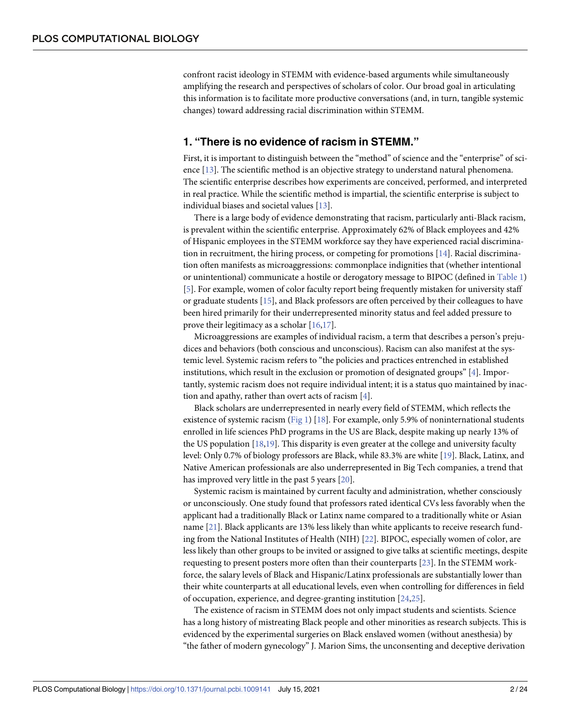<span id="page-1-0"></span>confront racist ideology in STEMM with evidence-based arguments while simultaneously amplifying the research and perspectives of scholars of color. Our broad goal in articulating this information is to facilitate more productive conversations (and, in turn, tangible systemic changes) toward addressing racial discrimination within STEMM.

#### **1. "There is no evidence of racism in STEMM."**

First, it is important to distinguish between the "method" of science and the "enterprise" of science [[13](#page-16-0)]. The scientific method is an objective strategy to understand natural phenomena. The scientific enterprise describes how experiments are conceived, performed, and interpreted in real practice. While the scientific method is impartial, the scientific enterprise is subject to individual biases and societal values [[13](#page-16-0)].

There is a large body of evidence demonstrating that racism, particularly anti-Black racism, is prevalent within the scientific enterprise. Approximately 62% of Black employees and 42% of Hispanic employees in the STEMM workforce say they have experienced racial discrimination in recruitment, the hiring process, or competing for promotions [[14](#page-16-0)]. Racial discrimination often manifests as microaggressions: commonplace indignities that (whether intentional or unintentional) communicate a hostile or derogatory message to BIPOC (defined in [Table](#page-2-0) 1) [\[5](#page-15-0)]. For example, women of color faculty report being frequently mistaken for university staff or graduate students [\[15\]](#page-16-0), and Black professors are often perceived by their colleagues to have been hired primarily for their underrepresented minority status and feel added pressure to prove their legitimacy as a scholar [\[16,17](#page-16-0)].

Microaggressions are examples of individual racism, a term that describes a person's prejudices and behaviors (both conscious and unconscious). Racism can also manifest at the systemic level. Systemic racism refers to "the policies and practices entrenched in established institutions, which result in the exclusion or promotion of designated groups" [[4](#page-15-0)]. Importantly, systemic racism does not require individual intent; it is a status quo maintained by inaction and apathy, rather than overt acts of racism [\[4\]](#page-15-0).

Black scholars are underrepresented in nearly every field of STEMM, which reflects the existence of systemic racism [\(Fig](#page-3-0) 1) [[18](#page-16-0)]. For example, only 5.9% of noninternational students enrolled in life sciences PhD programs in the US are Black, despite making up nearly 13% of the US population [\[18,19\]](#page-16-0). This disparity is even greater at the college and university faculty level: Only 0.7% of biology professors are Black, while 83.3% are white [[19](#page-16-0)]. Black, Latinx, and Native American professionals are also underrepresented in Big Tech companies, a trend that has improved very little in the past 5 years [\[20\]](#page-16-0).

Systemic racism is maintained by current faculty and administration, whether consciously or unconsciously. One study found that professors rated identical CVs less favorably when the applicant had a traditionally Black or Latinx name compared to a traditionally white or Asian name [[21](#page-16-0)]. Black applicants are 13% less likely than white applicants to receive research funding from the National Institutes of Health (NIH) [\[22\]](#page-16-0). BIPOC, especially women of color, are less likely than other groups to be invited or assigned to give talks at scientific meetings, despite requesting to present posters more often than their counterparts [[23](#page-16-0)]. In the STEMM workforce, the salary levels of Black and Hispanic/Latinx professionals are substantially lower than their white counterparts at all educational levels, even when controlling for differences in field of occupation, experience, and degree-granting institution [\[24,25\]](#page-16-0).

The existence of racism in STEMM does not only impact students and scientists. Science has a long history of mistreating Black people and other minorities as research subjects. This is evidenced by the experimental surgeries on Black enslaved women (without anesthesia) by "the father of modern gynecology" J. Marion Sims, the unconsenting and deceptive derivation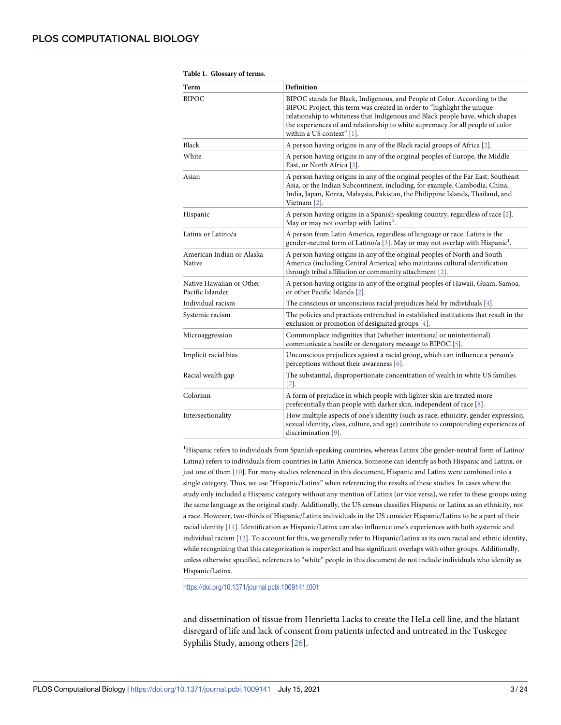| Tapit 1. Giossai y 61 itiliis.               |                                                                                                                                                                                                                                                                                                                                                     |  |  |  |
|----------------------------------------------|-----------------------------------------------------------------------------------------------------------------------------------------------------------------------------------------------------------------------------------------------------------------------------------------------------------------------------------------------------|--|--|--|
| Term                                         | Definition                                                                                                                                                                                                                                                                                                                                          |  |  |  |
| <b>BIPOC</b>                                 | BIPOC stands for Black, Indigenous, and People of Color. According to the<br>BIPOC Project, this term was created in order to "highlight the unique<br>relationship to whiteness that Indigenous and Black people have, which shapes<br>the experiences of and relationship to white supremacy for all people of color<br>within a US context" [1]. |  |  |  |
| Black                                        | A person having origins in any of the Black racial groups of Africa [2].                                                                                                                                                                                                                                                                            |  |  |  |
| White                                        | A person having origins in any of the original peoples of Europe, the Middle<br>East, or North Africa [2].                                                                                                                                                                                                                                          |  |  |  |
| Asian                                        | A person having origins in any of the original peoples of the Far East, Southeast<br>Asia, or the Indian Subcontinent, including, for example, Cambodia, China,<br>India, Japan, Korea, Malaysia, Pakistan, the Philippine Islands, Thailand, and<br>Vietnam [2].                                                                                   |  |  |  |
| Hispanic                                     | A person having origins in a Spanish-speaking country, regardless of race [2].<br>May or may not overlap with Latinx <sup>1</sup> .                                                                                                                                                                                                                 |  |  |  |
| Latinx or Latino/a                           | A person from Latin America, regardless of language or race. Latinx is the<br>gender-neutral form of Latino/a [3]. May or may not overlap with Hispanic <sup>1</sup> .                                                                                                                                                                              |  |  |  |
| American Indian or Alaska<br>Native          | A person having origins in any of the original peoples of North and South<br>America (including Central America) who maintains cultural identification<br>through tribal affiliation or community attachment [2].                                                                                                                                   |  |  |  |
| Native Hawaiian or Other<br>Pacific Islander | A person having origins in any of the original peoples of Hawaii, Guam, Samoa,<br>or other Pacific Islands [2].                                                                                                                                                                                                                                     |  |  |  |
| Individual racism                            | The conscious or unconscious racial prejudices held by individuals [4].                                                                                                                                                                                                                                                                             |  |  |  |
| Systemic racism                              | The policies and practices entrenched in established institutions that result in the<br>exclusion or promotion of designated groups [4].                                                                                                                                                                                                            |  |  |  |
| Microaggression                              | Commonplace indignities that (whether intentional or unintentional)<br>communicate a hostile or derogatory message to BIPOC [5].                                                                                                                                                                                                                    |  |  |  |
| Implicit racial bias                         | Unconscious prejudices against a racial group, which can influence a person's<br>perceptions without their awareness [6].                                                                                                                                                                                                                           |  |  |  |
| Racial wealth gap                            | The substantial, disproportionate concentration of wealth in white US families<br>$[7]$ .                                                                                                                                                                                                                                                           |  |  |  |
| Colorism                                     | A form of prejudice in which people with lighter skin are treated more<br>preferentially than people with darker skin, independent of race [8].                                                                                                                                                                                                     |  |  |  |
| Intersectionality                            | How multiple aspects of one's identity (such as race, ethnicity, gender expression,<br>sexual identity, class, culture, and age) contribute to compounding experiences of<br>discrimination [9].                                                                                                                                                    |  |  |  |

<span id="page-2-0"></span>

| Table 1. Glossary of terms. |  |  |
|-----------------------------|--|--|
|                             |  |  |

<sup>1</sup>Hispanic refers to individuals from Spanish-speaking countries, whereas Latinx (the gender-neutral form of Latino/ Latina) refers to individuals from countries in Latin America. Someone can identify as both Hispanic and Latinx, or just one of them [[10](#page-16-0)]. For many studies referenced in this document, Hispanic and Latinx were combined into a single category. Thus, we use "Hispanic/Latinx" when referencing the results of these studies. In cases where the study only included a Hispanic category without any mention of Latinx (or vice versa), we refer to these groups using the same language as the original study. Additionally, the US census classifies Hispanic or Latinx as an ethnicity, not a race. However, two-thirds of Hispanic/Latinx individuals in the US consider Hispanic/Latinx to be a part of their racial identity [[11](#page-16-0)]. Identification as Hispanic/Latinx can also influence one's experiences with both systemic and individual racism [[12](#page-16-0)]. To account for this, we generally refer to Hispanic/Latinx as its own racial and ethnic identity, while recognizing that this categorization is imperfect and has significant overlaps with other groups. Additionally, unless otherwise specified, references to "white" people in this document do not include individuals who identify as Hispanic/Latinx.

<https://doi.org/10.1371/journal.pcbi.1009141.t001>

and dissemination of tissue from Henrietta Lacks to create the HeLa cell line, and the blatant disregard of life and lack of consent from patients infected and untreated in the Tuskegee Syphilis Study, among others [\[26\]](#page-16-0).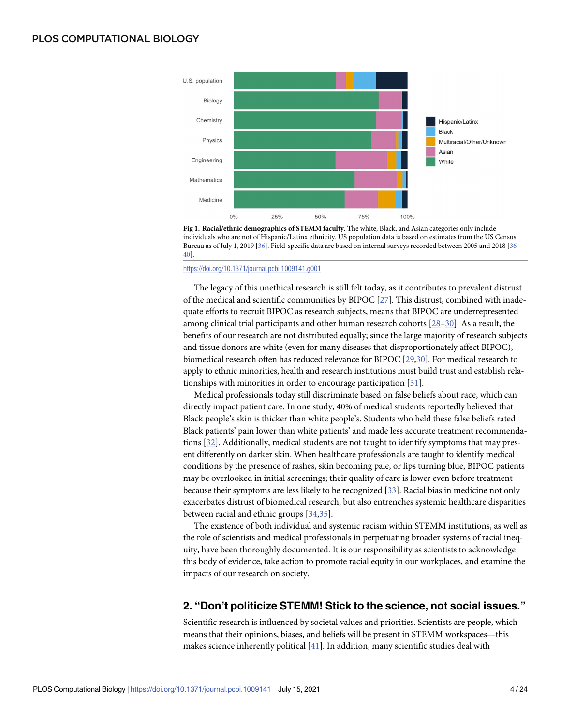<span id="page-3-0"></span>

**[Fig](#page-1-0) 1. Racial/ethnic demographics of STEMM faculty.** The white, Black, and Asian categories only include individuals who are not of Hispanic/Latinx ethnicity. US population data is based on estimates from the US Census Bureau as of July 1, 2019 [[36](#page-17-0)]. Field-specific data are based on internal surveys recorded between 2005 and 2018 [\[36](#page-17-0)– [40\]](#page-17-0).

#### <https://doi.org/10.1371/journal.pcbi.1009141.g001>

The legacy of this unethical research is still felt today, as it contributes to prevalent distrust of the medical and scientific communities by BIPOC [[27](#page-17-0)]. This distrust, combined with inadequate efforts to recruit BIPOC as research subjects, means that BIPOC are underrepresented among clinical trial participants and other human research cohorts [\[28–30\]](#page-17-0). As a result, the benefits of our research are not distributed equally; since the large majority of research subjects and tissue donors are white (even for many diseases that disproportionately affect BIPOC), biomedical research often has reduced relevance for BIPOC [[29](#page-17-0),[30](#page-17-0)]. For medical research to apply to ethnic minorities, health and research institutions must build trust and establish relationships with minorities in order to encourage participation [[31](#page-17-0)].

Medical professionals today still discriminate based on false beliefs about race, which can directly impact patient care. In one study, 40% of medical students reportedly believed that Black people's skin is thicker than white people's. Students who held these false beliefs rated Black patients' pain lower than white patients' and made less accurate treatment recommendations [\[32\]](#page-17-0). Additionally, medical students are not taught to identify symptoms that may present differently on darker skin. When healthcare professionals are taught to identify medical conditions by the presence of rashes, skin becoming pale, or lips turning blue, BIPOC patients may be overlooked in initial screenings; their quality of care is lower even before treatment because their symptoms are less likely to be recognized [\[33\]](#page-17-0). Racial bias in medicine not only exacerbates distrust of biomedical research, but also entrenches systemic healthcare disparities between racial and ethnic groups [[34,35\]](#page-17-0).

The existence of both individual and systemic racism within STEMM institutions, as well as the role of scientists and medical professionals in perpetuating broader systems of racial inequity, have been thoroughly documented. It is our responsibility as scientists to acknowledge this body of evidence, take action to promote racial equity in our workplaces, and examine the impacts of our research on society.

#### **2. "Don't politicize STEMM! Stick to the science, not social issues."**

Scientific research is influenced by societal values and priorities. Scientists are people, which means that their opinions, biases, and beliefs will be present in STEMM workspaces—this makes science inherently political [\[41\]](#page-17-0). In addition, many scientific studies deal with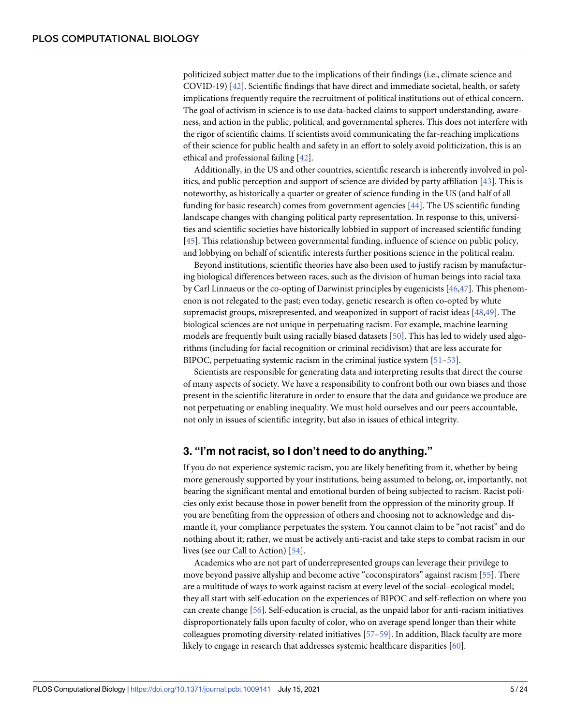<span id="page-4-0"></span>politicized subject matter due to the implications of their findings (i.e., climate science and COVID-19) [[42](#page-17-0)]. Scientific findings that have direct and immediate societal, health, or safety implications frequently require the recruitment of political institutions out of ethical concern. The goal of activism in science is to use data-backed claims to support understanding, awareness, and action in the public, political, and governmental spheres. This does not interfere with the rigor of scientific claims. If scientists avoid communicating the far-reaching implications of their science for public health and safety in an effort to solely avoid politicization, this is an ethical and professional failing [\[42](#page-17-0)].

Additionally, in the US and other countries, scientific research is inherently involved in politics, and public perception and support of science are divided by party affiliation [\[43\]](#page-17-0). This is noteworthy, as historically a quarter or greater of science funding in the US (and half of all funding for basic research) comes from government agencies [\[44\]](#page-17-0). The US scientific funding landscape changes with changing political party representation. In response to this, universities and scientific societies have historically lobbied in support of increased scientific funding [\[45\]](#page-17-0). This relationship between governmental funding, influence of science on public policy, and lobbying on behalf of scientific interests further positions science in the political realm.

Beyond institutions, scientific theories have also been used to justify racism by manufacturing biological differences between races, such as the division of human beings into racial taxa by Carl Linnaeus or the co-opting of Darwinist principles by eugenicists [\[46,](#page-17-0)[47](#page-18-0)]. This phenomenon is not relegated to the past; even today, genetic research is often co-opted by white supremacist groups, misrepresented, and weaponized in support of racist ideas [\[48,49](#page-18-0)]. The biological sciences are not unique in perpetuating racism. For example, machine learning models are frequently built using racially biased datasets [[50](#page-18-0)]. This has led to widely used algorithms (including for facial recognition or criminal recidivism) that are less accurate for BIPOC, perpetuating systemic racism in the criminal justice system [\[51–53](#page-18-0)].

Scientists are responsible for generating data and interpreting results that direct the course of many aspects of society. We have a responsibility to confront both our own biases and those present in the scientific literature in order to ensure that the data and guidance we produce are not perpetuating or enabling inequality. We must hold ourselves and our peers accountable, not only in issues of scientific integrity, but also in issues of ethical integrity.

#### **3. "I'm not racist, so I don't need to do anything."**

If you do not experience systemic racism, you are likely benefiting from it, whether by being more generously supported by your institutions, being assumed to belong, or, importantly, not bearing the significant mental and emotional burden of being subjected to racism. Racist policies only exist because those in power benefit from the oppression of the minority group. If you are benefiting from the oppression of others and choosing not to acknowledge and dismantle it, your compliance perpetuates the system. You cannot claim to be "not racist" and do nothing about it; rather, we must be actively anti-racist and take steps to combat racism in our lives (see our Call to Action) [\[54\]](#page-18-0).

Academics who are not part of underrepresented groups can leverage their privilege to move beyond passive allyship and become active "coconspirators" against racism [[55](#page-18-0)]. There are a multitude of ways to work against racism at every level of the social–ecological model; they all start with self-education on the experiences of BIPOC and self-reflection on where you can create change [\[56\]](#page-18-0). Self-education is crucial, as the unpaid labor for anti-racism initiatives disproportionately falls upon faculty of color, who on average spend longer than their white colleagues promoting diversity-related initiatives [[57–59\]](#page-18-0). In addition, Black faculty are more likely to engage in research that addresses systemic healthcare disparities [[60](#page-18-0)].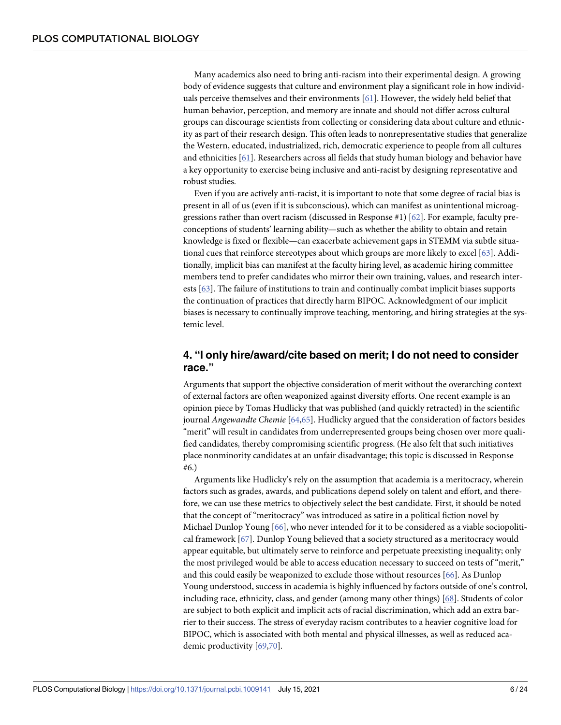<span id="page-5-0"></span>Many academics also need to bring anti-racism into their experimental design. A growing body of evidence suggests that culture and environment play a significant role in how individuals perceive themselves and their environments [\[61\]](#page-18-0). However, the widely held belief that human behavior, perception, and memory are innate and should not differ across cultural groups can discourage scientists from collecting or considering data about culture and ethnicity as part of their research design. This often leads to nonrepresentative studies that generalize the Western, educated, industrialized, rich, democratic experience to people from all cultures and ethnicities [[61](#page-18-0)]. Researchers across all fields that study human biology and behavior have a key opportunity to exercise being inclusive and anti-racist by designing representative and robust studies.

Even if you are actively anti-racist, it is important to note that some degree of racial bias is present in all of us (even if it is subconscious), which can manifest as unintentional microaggressions rather than overt racism (discussed in Response #1) [\[62\]](#page-18-0). For example, faculty preconceptions of students' learning ability—such as whether the ability to obtain and retain knowledge is fixed or flexible—can exacerbate achievement gaps in STEMM via subtle situational cues that reinforce stereotypes about which groups are more likely to excel [[63](#page-18-0)]. Additionally, implicit bias can manifest at the faculty hiring level, as academic hiring committee members tend to prefer candidates who mirror their own training, values, and research interests [\[63\]](#page-18-0). The failure of institutions to train and continually combat implicit biases supports the continuation of practices that directly harm BIPOC. Acknowledgment of our implicit biases is necessary to continually improve teaching, mentoring, and hiring strategies at the systemic level.

# **4. "I only hire/award/cite based on merit; I do not need to consider race."**

Arguments that support the objective consideration of merit without the overarching context of external factors are often weaponized against diversity efforts. One recent example is an opinion piece by Tomas Hudlicky that was published (and quickly retracted) in the scientific journal *Angewandte Chemie* [[64,65\]](#page-18-0). Hudlicky argued that the consideration of factors besides "merit" will result in candidates from underrepresented groups being chosen over more qualified candidates, thereby compromising scientific progress. (He also felt that such initiatives place nonminority candidates at an unfair disadvantage; this topic is discussed in Response #6.)

Arguments like Hudlicky's rely on the assumption that academia is a meritocracy, wherein factors such as grades, awards, and publications depend solely on talent and effort, and therefore, we can use these metrics to objectively select the best candidate. First, it should be noted that the concept of "meritocracy" was introduced as satire in a political fiction novel by Michael Dunlop Young [[66](#page-18-0)], who never intended for it to be considered as a viable sociopolitical framework [[67](#page-18-0)]. Dunlop Young believed that a society structured as a meritocracy would appear equitable, but ultimately serve to reinforce and perpetuate preexisting inequality; only the most privileged would be able to access education necessary to succeed on tests of "merit," and this could easily be weaponized to exclude those without resources [[66](#page-18-0)]. As Dunlop Young understood, success in academia is highly influenced by factors outside of one's control, including race, ethnicity, class, and gender (among many other things) [\[68\]](#page-19-0). Students of color are subject to both explicit and implicit acts of racial discrimination, which add an extra barrier to their success. The stress of everyday racism contributes to a heavier cognitive load for BIPOC, which is associated with both mental and physical illnesses, as well as reduced academic productivity [[69,70\]](#page-19-0).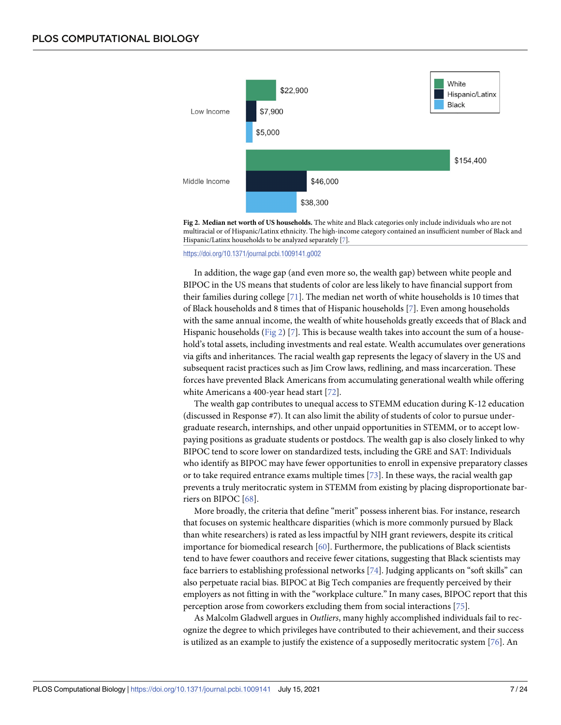<span id="page-6-0"></span>

**Fig 2. Median net worth of US households.** The white and Black categories only include individuals who are not multiracial or of Hispanic/Latinx ethnicity. The high-income category contained an insufficient number of Black and Hispanic/Latinx households to be analyzed separately [[7](#page-16-0)].

<https://doi.org/10.1371/journal.pcbi.1009141.g002>

In addition, the wage gap (and even more so, the wealth gap) between white people and BIPOC in the US means that students of color are less likely to have financial support from their families during college [[71](#page-19-0)]. The median net worth of white households is 10 times that of Black households and 8 times that of Hispanic households [\[7](#page-16-0)]. Even among households with the same annual income, the wealth of white households greatly exceeds that of Black and Hispanic households (Fig 2) [\[7](#page-16-0)]. This is because wealth takes into account the sum of a household's total assets, including investments and real estate. Wealth accumulates over generations via gifts and inheritances. The racial wealth gap represents the legacy of slavery in the US and subsequent racist practices such as Jim Crow laws, redlining, and mass incarceration. These forces have prevented Black Americans from accumulating generational wealth while offering white Americans a 400-year head start [[72](#page-19-0)].

The wealth gap contributes to unequal access to STEMM education during K-12 education (discussed in Response #7). It can also limit the ability of students of color to pursue undergraduate research, internships, and other unpaid opportunities in STEMM, or to accept lowpaying positions as graduate students or postdocs. The wealth gap is also closely linked to why BIPOC tend to score lower on standardized tests, including the GRE and SAT: Individuals who identify as BIPOC may have fewer opportunities to enroll in expensive preparatory classes or to take required entrance exams multiple times [\[73\]](#page-19-0). In these ways, the racial wealth gap prevents a truly meritocratic system in STEMM from existing by placing disproportionate barriers on BIPOC [\[68\]](#page-19-0).

More broadly, the criteria that define "merit" possess inherent bias. For instance, research that focuses on systemic healthcare disparities (which is more commonly pursued by Black than white researchers) is rated as less impactful by NIH grant reviewers, despite its critical importance for biomedical research [[60](#page-18-0)]. Furthermore, the publications of Black scientists tend to have fewer coauthors and receive fewer citations, suggesting that Black scientists may face barriers to establishing professional networks [[74](#page-19-0)]. Judging applicants on "soft skills" can also perpetuate racial bias. BIPOC at Big Tech companies are frequently perceived by their employers as not fitting in with the "workplace culture." In many cases, BIPOC report that this perception arose from coworkers excluding them from social interactions [[75](#page-19-0)].

As Malcolm Gladwell argues in *Outliers*, many highly accomplished individuals fail to recognize the degree to which privileges have contributed to their achievement, and their success is utilized as an example to justify the existence of a supposedly meritocratic system [[76](#page-19-0)]. An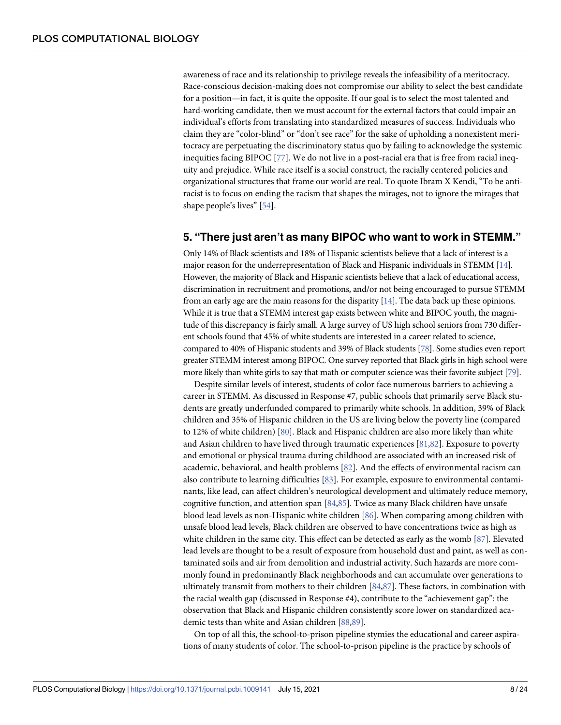<span id="page-7-0"></span>awareness of race and its relationship to privilege reveals the infeasibility of a meritocracy. Race-conscious decision-making does not compromise our ability to select the best candidate for a position—in fact, it is quite the opposite. If our goal is to select the most talented and hard-working candidate, then we must account for the external factors that could impair an individual's efforts from translating into standardized measures of success. Individuals who claim they are "color-blind" or "don't see race" for the sake of upholding a nonexistent meritocracy are perpetuating the discriminatory status quo by failing to acknowledge the systemic inequities facing BIPOC [\[77\]](#page-19-0). We do not live in a post-racial era that is free from racial inequity and prejudice. While race itself is a social construct, the racially centered policies and organizational structures that frame our world are real. To quote Ibram X Kendi, "To be antiracist is to focus on ending the racism that shapes the mirages, not to ignore the mirages that shape people's lives" [\[54\]](#page-18-0).

#### **5. "There just aren't as many BIPOC who want to work in STEMM."**

Only 14% of Black scientists and 18% of Hispanic scientists believe that a lack of interest is a major reason for the underrepresentation of Black and Hispanic individuals in STEMM [\[14](#page-16-0)]. However, the majority of Black and Hispanic scientists believe that a lack of educational access, discrimination in recruitment and promotions, and/or not being encouraged to pursue STEMM from an early age are the main reasons for the disparity [[14](#page-16-0)]. The data back up these opinions. While it is true that a STEMM interest gap exists between white and BIPOC youth, the magnitude of this discrepancy is fairly small. A large survey of US high school seniors from 730 different schools found that 45% of white students are interested in a career related to science, compared to 40% of Hispanic students and 39% of Black students [\[78\]](#page-19-0). Some studies even report greater STEMM interest among BIPOC. One survey reported that Black girls in high school were more likely than white girls to say that math or computer science was their favorite subject [\[79\]](#page-19-0).

Despite similar levels of interest, students of color face numerous barriers to achieving a career in STEMM. As discussed in Response #7, public schools that primarily serve Black students are greatly underfunded compared to primarily white schools. In addition, 39% of Black children and 35% of Hispanic children in the US are living below the poverty line (compared to 12% of white children) [\[80\]](#page-19-0). Black and Hispanic children are also more likely than white and Asian children to have lived through traumatic experiences [[81,82\]](#page-19-0). Exposure to poverty and emotional or physical trauma during childhood are associated with an increased risk of academic, behavioral, and health problems [\[82\]](#page-19-0). And the effects of environmental racism can also contribute to learning difficulties [[83](#page-19-0)]. For example, exposure to environmental contaminants, like lead, can affect children's neurological development and ultimately reduce memory, cognitive function, and attention span  $[84,85]$ . Twice as many Black children have unsafe blood lead levels as non-Hispanic white children [\[86\]](#page-19-0). When comparing among children with unsafe blood lead levels, Black children are observed to have concentrations twice as high as white children in the same city. This effect can be detected as early as the womb [\[87\]](#page-19-0). Elevated lead levels are thought to be a result of exposure from household dust and paint, as well as contaminated soils and air from demolition and industrial activity. Such hazards are more commonly found in predominantly Black neighborhoods and can accumulate over generations to ultimately transmit from mothers to their children [\[84,87](#page-19-0)]. These factors, in combination with the racial wealth gap (discussed in Response #4), contribute to the "achievement gap": the observation that Black and Hispanic children consistently score lower on standardized academic tests than white and Asian children [\[88,](#page-19-0)[89\]](#page-20-0).

On top of all this, the school-to-prison pipeline stymies the educational and career aspirations of many students of color. The school-to-prison pipeline is the practice by schools of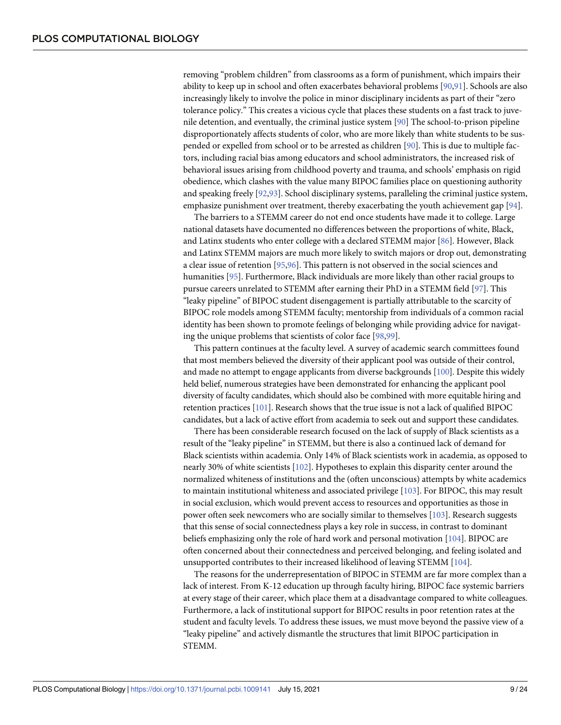<span id="page-8-0"></span>removing "problem children" from classrooms as a form of punishment, which impairs their ability to keep up in school and often exacerbates behavioral problems [\[90,91](#page-20-0)]. Schools are also increasingly likely to involve the police in minor disciplinary incidents as part of their "zero tolerance policy." This creates a vicious cycle that places these students on a fast track to juvenile detention, and eventually, the criminal justice system [\[90\]](#page-20-0) The school-to-prison pipeline disproportionately affects students of color, who are more likely than white students to be suspended or expelled from school or to be arrested as children [[90](#page-20-0)]. This is due to multiple factors, including racial bias among educators and school administrators, the increased risk of behavioral issues arising from childhood poverty and trauma, and schools' emphasis on rigid obedience, which clashes with the value many BIPOC families place on questioning authority and speaking freely [\[92,93](#page-20-0)]. School disciplinary systems, paralleling the criminal justice system, emphasize punishment over treatment, thereby exacerbating the youth achievement gap [[94](#page-20-0)].

The barriers to a STEMM career do not end once students have made it to college. Large national datasets have documented no differences between the proportions of white, Black, and Latinx students who enter college with a declared STEMM major [\[86\]](#page-19-0). However, Black and Latinx STEMM majors are much more likely to switch majors or drop out, demonstrating a clear issue of retention [[95](#page-20-0),[96](#page-20-0)]. This pattern is not observed in the social sciences and humanities [\[95\]](#page-20-0). Furthermore, Black individuals are more likely than other racial groups to pursue careers unrelated to STEMM after earning their PhD in a STEMM field [\[97\]](#page-20-0). This "leaky pipeline" of BIPOC student disengagement is partially attributable to the scarcity of BIPOC role models among STEMM faculty; mentorship from individuals of a common racial identity has been shown to promote feelings of belonging while providing advice for navigating the unique problems that scientists of color face [[98](#page-20-0),[99](#page-20-0)].

This pattern continues at the faculty level. A survey of academic search committees found that most members believed the diversity of their applicant pool was outside of their control, and made no attempt to engage applicants from diverse backgrounds [[100\]](#page-20-0). Despite this widely held belief, numerous strategies have been demonstrated for enhancing the applicant pool diversity of faculty candidates, which should also be combined with more equitable hiring and retention practices [[101\]](#page-20-0). Research shows that the true issue is not a lack of qualified BIPOC candidates, but a lack of active effort from academia to seek out and support these candidates.

There has been considerable research focused on the lack of supply of Black scientists as a result of the "leaky pipeline" in STEMM, but there is also a continued lack of demand for Black scientists within academia. Only 14% of Black scientists work in academia, as opposed to nearly 30% of white scientists [\[102\]](#page-20-0). Hypotheses to explain this disparity center around the normalized whiteness of institutions and the (often unconscious) attempts by white academics to maintain institutional whiteness and associated privilege [[103\]](#page-20-0). For BIPOC, this may result in social exclusion, which would prevent access to resources and opportunities as those in power often seek newcomers who are socially similar to themselves [[103\]](#page-20-0). Research suggests that this sense of social connectedness plays a key role in success, in contrast to dominant beliefs emphasizing only the role of hard work and personal motivation [\[104](#page-20-0)]. BIPOC are often concerned about their connectedness and perceived belonging, and feeling isolated and unsupported contributes to their increased likelihood of leaving STEMM [\[104\]](#page-20-0).

The reasons for the underrepresentation of BIPOC in STEMM are far more complex than a lack of interest. From K-12 education up through faculty hiring, BIPOC face systemic barriers at every stage of their career, which place them at a disadvantage compared to white colleagues. Furthermore, a lack of institutional support for BIPOC results in poor retention rates at the student and faculty levels. To address these issues, we must move beyond the passive view of a "leaky pipeline" and actively dismantle the structures that limit BIPOC participation in STEMM.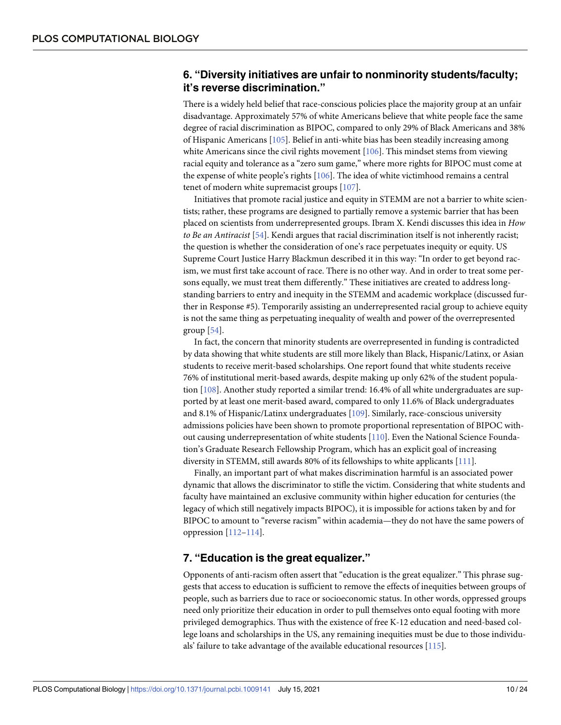## <span id="page-9-0"></span>**6. "Diversity initiatives are unfair to nonminority students/faculty; it's reverse discrimination."**

There is a widely held belief that race-conscious policies place the majority group at an unfair disadvantage. Approximately 57% of white Americans believe that white people face the same degree of racial discrimination as BIPOC, compared to only 29% of Black Americans and 38% of Hispanic Americans [\[105](#page-20-0)]. Belief in anti-white bias has been steadily increasing among white Americans since the civil rights movement  $[106]$ . This mindset stems from viewing racial equity and tolerance as a "zero sum game," where more rights for BIPOC must come at the expense of white people's rights [[106\]](#page-20-0). The idea of white victimhood remains a central tenet of modern white supremacist groups [\[107](#page-20-0)].

Initiatives that promote racial justice and equity in STEMM are not a barrier to white scientists; rather, these programs are designed to partially remove a systemic barrier that has been placed on scientists from underrepresented groups. Ibram X. Kendi discusses this idea in *How to Be an Antiracist* [[54](#page-18-0)]. Kendi argues that racial discrimination itself is not inherently racist; the question is whether the consideration of one's race perpetuates inequity or equity. US Supreme Court Justice Harry Blackmun described it in this way: "In order to get beyond racism, we must first take account of race. There is no other way. And in order to treat some persons equally, we must treat them differently." These initiatives are created to address longstanding barriers to entry and inequity in the STEMM and academic workplace (discussed further in Response #5). Temporarily assisting an underrepresented racial group to achieve equity is not the same thing as perpetuating inequality of wealth and power of the overrepresented group [\[54\]](#page-18-0).

In fact, the concern that minority students are overrepresented in funding is contradicted by data showing that white students are still more likely than Black, Hispanic/Latinx, or Asian students to receive merit-based scholarships. One report found that white students receive 76% of institutional merit-based awards, despite making up only 62% of the student population [[108](#page-20-0)]. Another study reported a similar trend: 16.4% of all white undergraduates are supported by at least one merit-based award, compared to only 11.6% of Black undergraduates and 8.1% of Hispanic/Latinx undergraduates [[109](#page-20-0)]. Similarly, race-conscious university admissions policies have been shown to promote proportional representation of BIPOC without causing underrepresentation of white students [[110\]](#page-20-0). Even the National Science Foundation's Graduate Research Fellowship Program, which has an explicit goal of increasing diversity in STEMM, still awards 80% of its fellowships to white applicants [\[111\]](#page-21-0).

Finally, an important part of what makes discrimination harmful is an associated power dynamic that allows the discriminator to stifle the victim. Considering that white students and faculty have maintained an exclusive community within higher education for centuries (the legacy of which still negatively impacts BIPOC), it is impossible for actions taken by and for BIPOC to amount to "reverse racism" within academia—they do not have the same powers of oppression [\[112–114](#page-21-0)].

## **7. "Education is the great equalizer."**

Opponents of anti-racism often assert that "education is the great equalizer." This phrase suggests that access to education is sufficient to remove the effects of inequities between groups of people, such as barriers due to race or socioeconomic status. In other words, oppressed groups need only prioritize their education in order to pull themselves onto equal footing with more privileged demographics. Thus with the existence of free K-12 education and need-based college loans and scholarships in the US, any remaining inequities must be due to those individuals' failure to take advantage of the available educational resources [\[115\]](#page-21-0).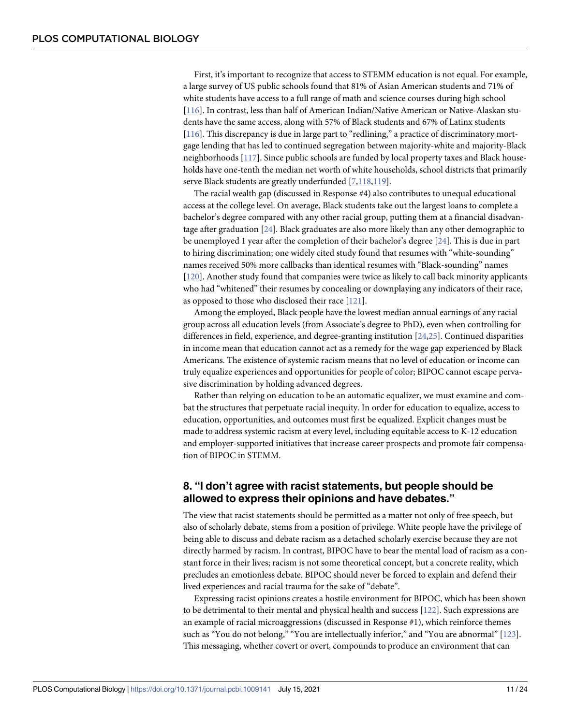<span id="page-10-0"></span>First, it's important to recognize that access to STEMM education is not equal. For example, a large survey of US public schools found that 81% of Asian American students and 71% of white students have access to a full range of math and science courses during high school [\[116\]](#page-21-0). In contrast, less than half of American Indian/Native American or Native-Alaskan students have the same access, along with 57% of Black students and 67% of Latinx students [\[116\]](#page-21-0). This discrepancy is due in large part to "redlining," a practice of discriminatory mortgage lending that has led to continued segregation between majority-white and majority-Black neighborhoods [\[117](#page-21-0)]. Since public schools are funded by local property taxes and Black households have one-tenth the median net worth of white households, school districts that primarily serve Black students are greatly underfunded [[7,](#page-16-0)[118,119\]](#page-21-0).

The racial wealth gap (discussed in Response #4) also contributes to unequal educational access at the college level. On average, Black students take out the largest loans to complete a bachelor's degree compared with any other racial group, putting them at a financial disadvantage after graduation [\[24\]](#page-16-0). Black graduates are also more likely than any other demographic to be unemployed 1 year after the completion of their bachelor's degree [\[24\]](#page-16-0). This is due in part to hiring discrimination; one widely cited study found that resumes with "white-sounding" names received 50% more callbacks than identical resumes with "Black-sounding" names [\[120\]](#page-21-0). Another study found that companies were twice as likely to call back minority applicants who had "whitened" their resumes by concealing or downplaying any indicators of their race, as opposed to those who disclosed their race [[121](#page-21-0)].

Among the employed, Black people have the lowest median annual earnings of any racial group across all education levels (from Associate's degree to PhD), even when controlling for differences in field, experience, and degree-granting institution [\[24,25](#page-16-0)]. Continued disparities in income mean that education cannot act as a remedy for the wage gap experienced by Black Americans. The existence of systemic racism means that no level of education or income can truly equalize experiences and opportunities for people of color; BIPOC cannot escape pervasive discrimination by holding advanced degrees.

Rather than relying on education to be an automatic equalizer, we must examine and combat the structures that perpetuate racial inequity. In order for education to equalize, access to education, opportunities, and outcomes must first be equalized. Explicit changes must be made to address systemic racism at every level, including equitable access to K-12 education and employer-supported initiatives that increase career prospects and promote fair compensation of BIPOC in STEMM.

# **8. "I don't agree with racist statements, but people should be allowed to express their opinions and have debates."**

The view that racist statements should be permitted as a matter not only of free speech, but also of scholarly debate, stems from a position of privilege. White people have the privilege of being able to discuss and debate racism as a detached scholarly exercise because they are not directly harmed by racism. In contrast, BIPOC have to bear the mental load of racism as a constant force in their lives; racism is not some theoretical concept, but a concrete reality, which precludes an emotionless debate. BIPOC should never be forced to explain and defend their lived experiences and racial trauma for the sake of "debate".

Expressing racist opinions creates a hostile environment for BIPOC, which has been shown to be detrimental to their mental and physical health and success [\[122](#page-21-0)]. Such expressions are an example of racial microaggressions (discussed in Response #1), which reinforce themes such as "You do not belong," "You are intellectually inferior," and "You are abnormal" [\[123](#page-21-0)]. This messaging, whether covert or overt, compounds to produce an environment that can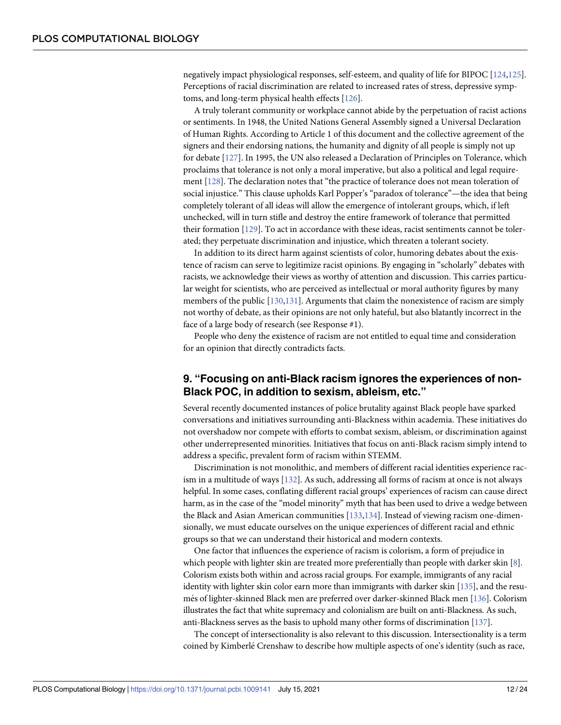<span id="page-11-0"></span>negatively impact physiological responses, self-esteem, and quality of life for BIPOC [\[124,125\]](#page-21-0). Perceptions of racial discrimination are related to increased rates of stress, depressive symptoms, and long-term physical health effects [\[126](#page-21-0)].

A truly tolerant community or workplace cannot abide by the perpetuation of racist actions or sentiments. In 1948, the United Nations General Assembly signed a Universal Declaration of Human Rights. According to Article 1 of this document and the collective agreement of the signers and their endorsing nations, the humanity and dignity of all people is simply not up for debate [[127\]](#page-21-0). In 1995, the UN also released a Declaration of Principles on Tolerance, which proclaims that tolerance is not only a moral imperative, but also a political and legal requirement [\[128\]](#page-21-0). The declaration notes that "the practice of tolerance does not mean toleration of social injustice." This clause upholds Karl Popper's "paradox of tolerance"—the idea that being completely tolerant of all ideas will allow the emergence of intolerant groups, which, if left unchecked, will in turn stifle and destroy the entire framework of tolerance that permitted their formation [\[129](#page-21-0)]. To act in accordance with these ideas, racist sentiments cannot be tolerated; they perpetuate discrimination and injustice, which threaten a tolerant society.

In addition to its direct harm against scientists of color, humoring debates about the existence of racism can serve to legitimize racist opinions. By engaging in "scholarly" debates with racists, we acknowledge their views as worthy of attention and discussion. This carries particular weight for scientists, who are perceived as intellectual or moral authority figures by many members of the public [[130,131\]](#page-21-0). Arguments that claim the nonexistence of racism are simply not worthy of debate, as their opinions are not only hateful, but also blatantly incorrect in the face of a large body of research (see Response #1).

People who deny the existence of racism are not entitled to equal time and consideration for an opinion that directly contradicts facts.

#### **9. "Focusing on anti-Black racism ignores the experiences of non-Black POC, in addition to sexism, ableism, etc."**

Several recently documented instances of police brutality against Black people have sparked conversations and initiatives surrounding anti-Blackness within academia. These initiatives do not overshadow nor compete with efforts to combat sexism, ableism, or discrimination against other underrepresented minorities. Initiatives that focus on anti-Black racism simply intend to address a specific, prevalent form of racism within STEMM.

Discrimination is not monolithic, and members of different racial identities experience racism in a multitude of ways [\[132\]](#page-21-0). As such, addressing all forms of racism at once is not always helpful. In some cases, conflating different racial groups' experiences of racism can cause direct harm, as in the case of the "model minority" myth that has been used to drive a wedge between the Black and Asian American communities [\[133,134](#page-22-0)]. Instead of viewing racism one-dimensionally, we must educate ourselves on the unique experiences of different racial and ethnic groups so that we can understand their historical and modern contexts.

One factor that influences the experience of racism is colorism, a form of prejudice in which people with lighter skin are treated more preferentially than people with darker skin [\[8\]](#page-16-0). Colorism exists both within and across racial groups. For example, immigrants of any racial identity with lighter skin color earn more than immigrants with darker skin [\[135](#page-22-0)], and the resu-més of lighter-skinned Black men are preferred over darker-skinned Black men [[136\]](#page-22-0). Colorism illustrates the fact that white supremacy and colonialism are built on anti-Blackness. As such, anti-Blackness serves as the basis to uphold many other forms of discrimination [\[137](#page-22-0)].

The concept of intersectionality is also relevant to this discussion. Intersectionality is a term coined by Kimberlé Crenshaw to describe how multiple aspects of one's identity (such as race,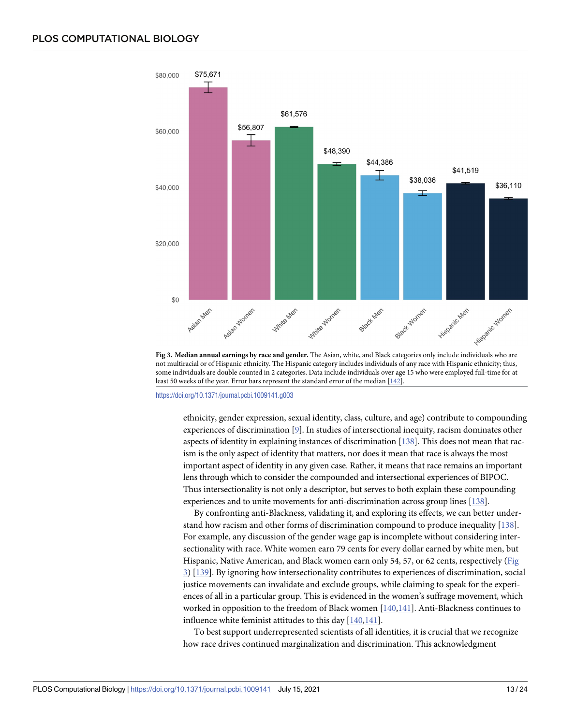<span id="page-12-0"></span>

**Fig 3. Median annual earnings by race and gender.** The Asian, white, and Black categories only include individuals who are not multiracial or of Hispanic ethnicity. The Hispanic category includes individuals of any race with Hispanic ethnicity; thus, some individuals are double counted in 2 categories. Data include individuals over age 15 who were employed full-time for at least 50 weeks of the year. Error bars represent the standard error of the median [[142](#page-22-0)].

<https://doi.org/10.1371/journal.pcbi.1009141.g003>

ethnicity, gender expression, sexual identity, class, culture, and age) contribute to compounding experiences of discrimination [[9\]](#page-16-0). In studies of intersectional inequity, racism dominates other aspects of identity in explaining instances of discrimination [\[138](#page-22-0)]. This does not mean that racism is the only aspect of identity that matters, nor does it mean that race is always the most important aspect of identity in any given case. Rather, it means that race remains an important lens through which to consider the compounded and intersectional experiences of BIPOC. Thus intersectionality is not only a descriptor, but serves to both explain these compounding experiences and to unite movements for anti-discrimination across group lines [[138\]](#page-22-0).

By confronting anti-Blackness, validating it, and exploring its effects, we can better understand how racism and other forms of discrimination compound to produce inequality [[138](#page-22-0)]. For example, any discussion of the gender wage gap is incomplete without considering intersectionality with race. White women earn 79 cents for every dollar earned by white men, but Hispanic, Native American, and Black women earn only 54, 57, or 62 cents, respectively (Fig 3) [[139\]](#page-22-0). By ignoring how intersectionality contributes to experiences of discrimination, social justice movements can invalidate and exclude groups, while claiming to speak for the experiences of all in a particular group. This is evidenced in the women's suffrage movement, which worked in opposition to the freedom of Black women [\[140](#page-22-0),[141\]](#page-22-0). Anti-Blackness continues to influence white feminist attitudes to this day [[140,141](#page-22-0)].

To best support underrepresented scientists of all identities, it is crucial that we recognize how race drives continued marginalization and discrimination. This acknowledgment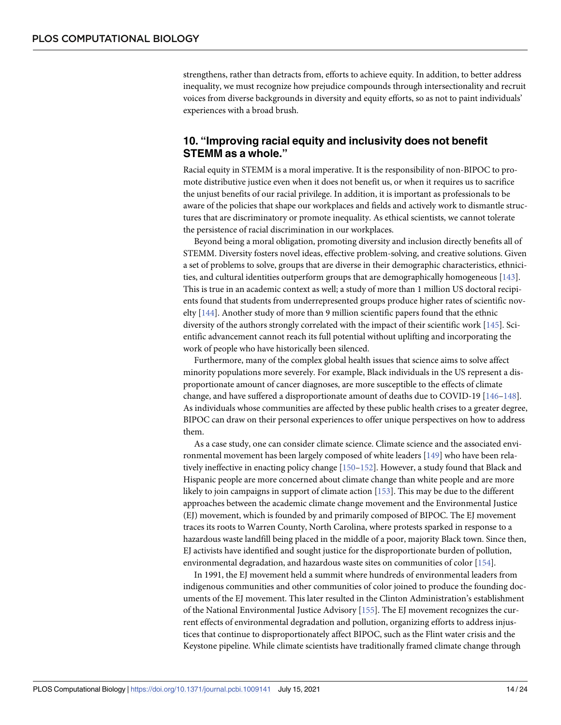<span id="page-13-0"></span>strengthens, rather than detracts from, efforts to achieve equity. In addition, to better address inequality, we must recognize how prejudice compounds through intersectionality and recruit voices from diverse backgrounds in diversity and equity efforts, so as not to paint individuals' experiences with a broad brush.

#### **10. "Improving racial equity and inclusivity does not benefit STEMM as a whole."**

Racial equity in STEMM is a moral imperative. It is the responsibility of non-BIPOC to promote distributive justice even when it does not benefit us, or when it requires us to sacrifice the unjust benefits of our racial privilege. In addition, it is important as professionals to be aware of the policies that shape our workplaces and fields and actively work to dismantle structures that are discriminatory or promote inequality. As ethical scientists, we cannot tolerate the persistence of racial discrimination in our workplaces.

Beyond being a moral obligation, promoting diversity and inclusion directly benefits all of STEMM. Diversity fosters novel ideas, effective problem-solving, and creative solutions. Given a set of problems to solve, groups that are diverse in their demographic characteristics, ethnicities, and cultural identities outperform groups that are demographically homogeneous [\[143\]](#page-22-0). This is true in an academic context as well; a study of more than 1 million US doctoral recipients found that students from underrepresented groups produce higher rates of scientific novelty  $[144]$  $[144]$  $[144]$ . Another study of more than 9 million scientific papers found that the ethnic diversity of the authors strongly correlated with the impact of their scientific work [[145\]](#page-22-0). Scientific advancement cannot reach its full potential without uplifting and incorporating the work of people who have historically been silenced.

Furthermore, many of the complex global health issues that science aims to solve affect minority populations more severely. For example, Black individuals in the US represent a disproportionate amount of cancer diagnoses, are more susceptible to the effects of climate change, and have suffered a disproportionate amount of deaths due to COVID-19 [\[146](#page-22-0)–[148\]](#page-22-0). As individuals whose communities are affected by these public health crises to a greater degree, BIPOC can draw on their personal experiences to offer unique perspectives on how to address them.

As a case study, one can consider climate science. Climate science and the associated environmental movement has been largely composed of white leaders [[149\]](#page-22-0) who have been relatively ineffective in enacting policy change [[150–152](#page-22-0)]. However, a study found that Black and Hispanic people are more concerned about climate change than white people and are more likely to join campaigns in support of climate action [\[153](#page-22-0)]. This may be due to the different approaches between the academic climate change movement and the Environmental Justice (EJ) movement, which is founded by and primarily composed of BIPOC. The EJ movement traces its roots to Warren County, North Carolina, where protests sparked in response to a hazardous waste landfill being placed in the middle of a poor, majority Black town. Since then, EJ activists have identified and sought justice for the disproportionate burden of pollution, environmental degradation, and hazardous waste sites on communities of color [[154\]](#page-22-0).

In 1991, the EJ movement held a summit where hundreds of environmental leaders from indigenous communities and other communities of color joined to produce the founding documents of the EJ movement. This later resulted in the Clinton Administration's establishment of the National Environmental Justice Advisory [[155\]](#page-22-0). The EJ movement recognizes the current effects of environmental degradation and pollution, organizing efforts to address injustices that continue to disproportionately affect BIPOC, such as the Flint water crisis and the Keystone pipeline. While climate scientists have traditionally framed climate change through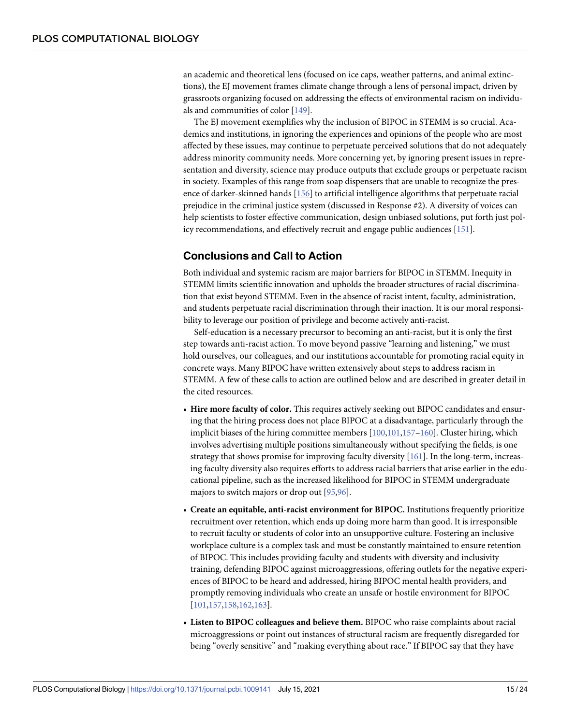<span id="page-14-0"></span>an academic and theoretical lens (focused on ice caps, weather patterns, and animal extinctions), the EJ movement frames climate change through a lens of personal impact, driven by grassroots organizing focused on addressing the effects of environmental racism on individuals and communities of color [\[149](#page-22-0)].

The EJ movement exemplifies why the inclusion of BIPOC in STEMM is so crucial. Academics and institutions, in ignoring the experiences and opinions of the people who are most affected by these issues, may continue to perpetuate perceived solutions that do not adequately address minority community needs. More concerning yet, by ignoring present issues in representation and diversity, science may produce outputs that exclude groups or perpetuate racism in society. Examples of this range from soap dispensers that are unable to recognize the presence of darker-skinned hands [[156](#page-23-0)] to artificial intelligence algorithms that perpetuate racial prejudice in the criminal justice system (discussed in Response #2). A diversity of voices can help scientists to foster effective communication, design unbiased solutions, put forth just policy recommendations, and effectively recruit and engage public audiences [[151\]](#page-22-0).

# **Conclusions and Call to Action**

Both individual and systemic racism are major barriers for BIPOC in STEMM. Inequity in STEMM limits scientific innovation and upholds the broader structures of racial discrimination that exist beyond STEMM. Even in the absence of racist intent, faculty, administration, and students perpetuate racial discrimination through their inaction. It is our moral responsibility to leverage our position of privilege and become actively anti-racist.

Self-education is a necessary precursor to becoming an anti-racist, but it is only the first step towards anti-racist action. To move beyond passive "learning and listening," we must hold ourselves, our colleagues, and our institutions accountable for promoting racial equity in concrete ways. Many BIPOC have written extensively about steps to address racism in STEMM. A few of these calls to action are outlined below and are described in greater detail in the cited resources.

- **Hire more faculty of color.** This requires actively seeking out BIPOC candidates and ensuring that the hiring process does not place BIPOC at a disadvantage, particularly through the implicit biases of the hiring committee members [\[100](#page-20-0),[101](#page-20-0)[,157](#page-23-0)–[160\]](#page-23-0). Cluster hiring, which involves advertising multiple positions simultaneously without specifying the fields, is one strategy that shows promise for improving faculty diversity [\[161\]](#page-23-0). In the long-term, increasing faculty diversity also requires efforts to address racial barriers that arise earlier in the educational pipeline, such as the increased likelihood for BIPOC in STEMM undergraduate majors to switch majors or drop out [[95,96\]](#page-20-0).
- **Create an equitable, anti-racist environment for BIPOC.** Institutions frequently prioritize recruitment over retention, which ends up doing more harm than good. It is irresponsible to recruit faculty or students of color into an unsupportive culture. Fostering an inclusive workplace culture is a complex task and must be constantly maintained to ensure retention of BIPOC. This includes providing faculty and students with diversity and inclusivity training, defending BIPOC against microaggressions, offering outlets for the negative experiences of BIPOC to be heard and addressed, hiring BIPOC mental health providers, and promptly removing individuals who create an unsafe or hostile environment for BIPOC [\[101](#page-20-0),[157,158,162,163\]](#page-23-0).
- **Listen to BIPOC colleagues and believe them.** BIPOC who raise complaints about racial microaggressions or point out instances of structural racism are frequently disregarded for being "overly sensitive" and "making everything about race." If BIPOC say that they have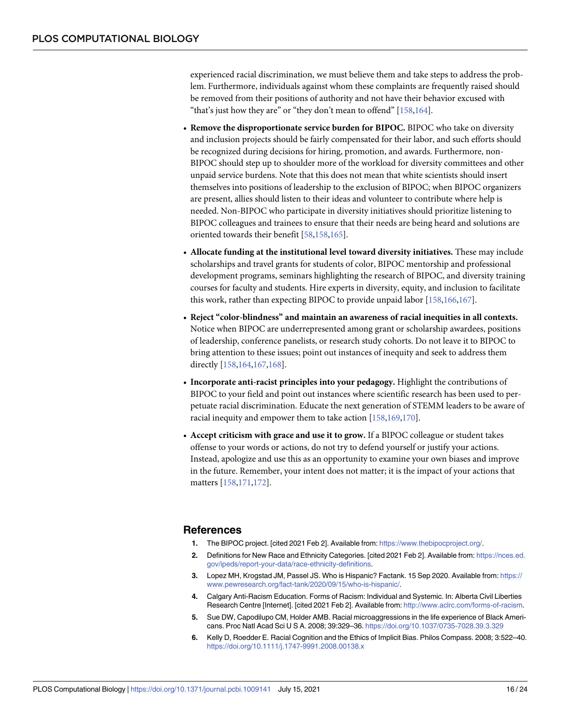<span id="page-15-0"></span>experienced racial discrimination, we must believe them and take steps to address the problem. Furthermore, individuals against whom these complaints are frequently raised should be removed from their positions of authority and not have their behavior excused with "that's just how they are" or "they don't mean to offend" [\[158,164](#page-23-0)].

- **Remove the disproportionate service burden for BIPOC.** BIPOC who take on diversity and inclusion projects should be fairly compensated for their labor, and such efforts should be recognized during decisions for hiring, promotion, and awards. Furthermore, non-BIPOC should step up to shoulder more of the workload for diversity committees and other unpaid service burdens. Note that this does not mean that white scientists should insert themselves into positions of leadership to the exclusion of BIPOC; when BIPOC organizers are present, allies should listen to their ideas and volunteer to contribute where help is needed. Non-BIPOC who participate in diversity initiatives should prioritize listening to BIPOC colleagues and trainees to ensure that their needs are being heard and solutions are oriented towards their benefit [[58](#page-18-0),[158,165\]](#page-23-0).
- **Allocate funding at the institutional level toward diversity initiatives.** These may include scholarships and travel grants for students of color, BIPOC mentorship and professional development programs, seminars highlighting the research of BIPOC, and diversity training courses for faculty and students. Hire experts in diversity, equity, and inclusion to facilitate this work, rather than expecting BIPOC to provide unpaid labor [[158,166,167](#page-23-0)].
- **Reject "color-blindness" and maintain an awareness of racial inequities in all contexts.** Notice when BIPOC are underrepresented among grant or scholarship awardees, positions of leadership, conference panelists, or research study cohorts. Do not leave it to BIPOC to bring attention to these issues; point out instances of inequity and seek to address them directly [[158,164](#page-23-0),[167,168](#page-23-0)].
- **Incorporate anti-racist principles into your pedagogy.** Highlight the contributions of BIPOC to your field and point out instances where scientific research has been used to perpetuate racial discrimination. Educate the next generation of STEMM leaders to be aware of racial inequity and empower them to take action [\[158](#page-23-0),[169,170](#page-23-0)].
- **Accept criticism with grace and use it to grow.** If a BIPOC colleague or student takes offense to your words or actions, do not try to defend yourself or justify your actions. Instead, apologize and use this as an opportunity to examine your own biases and improve in the future. Remember, your intent does not matter; it is the impact of your actions that matters [\[158,171](#page-23-0),[172\]](#page-23-0).

#### **References**

- **[1.](#page-2-0)** The BIPOC project. [cited 2021 Feb 2]. Available from: <https://www.thebipocproject.org/>.
- **[2.](#page-2-0)** Definitions for New Race and Ethnicity Categories. [cited 2021 Feb 2]. Available from: [https://nces.ed.](https://nces.ed.gov/ipeds/report-your-data/race-ethnicity-definitions) [gov/ipeds/report-your-data/race-ethnicity-definitions](https://nces.ed.gov/ipeds/report-your-data/race-ethnicity-definitions).
- **[3.](#page-2-0)** Lopez MH, Krogstad JM, Passel JS. Who is Hispanic? Factank. 15 Sep 2020. Available from: [https://](https://www.pewresearch.org/fact-tank/2020/09/15/who-is-hispanic/) [www.pewresearch.org/fact-tank/2020/09/15/who-is-hispanic/](https://www.pewresearch.org/fact-tank/2020/09/15/who-is-hispanic/).
- **[4.](#page-1-0)** Calgary Anti-Racism Education. Forms of Racism: Individual and Systemic. In: Alberta Civil Liberties Research Centre [Internet]. [cited 2021 Feb 2]. Available from: <http://www.aclrc.com/forms-of-racism>.
- **[5.](#page-1-0)** Sue DW, Capodilupo CM, Holder AMB. Racial microaggressions in the life experience of Black Americans. Proc Natl Acad Sci U S A. 2008; 39:329–36. <https://doi.org/10.1037/0735-7028.39.3.329>
- **[6.](#page-2-0)** Kelly D, Roedder E. Racial Cognition and the Ethics of Implicit Bias. Philos Compass. 2008; 3:522–40. <https://doi.org/10.1111/j.1747-9991.2008.00138.x>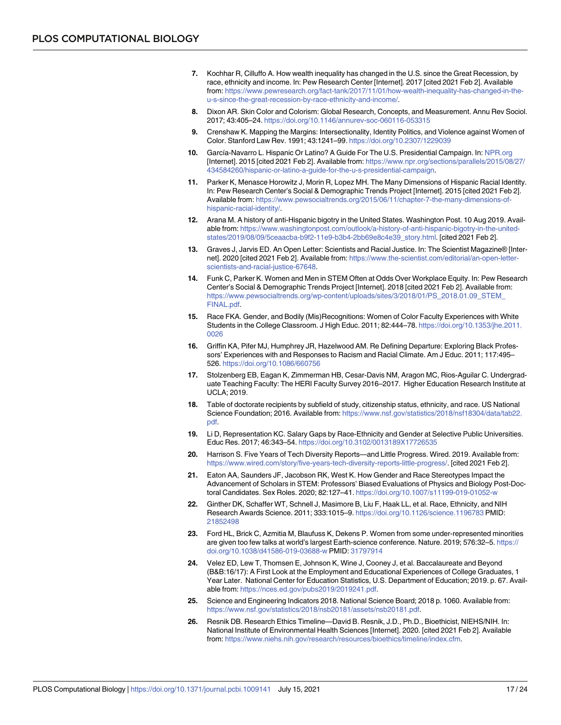- <span id="page-16-0"></span>**[7.](#page-2-0)** Kochhar R, Cilluffo A. How wealth inequality has changed in the U.S. since the Great Recession, by race, ethnicity and income. In: Pew Research Center [Internet]. 2017 [cited 2021 Feb 2]. Available from: [https://www.pewresearch.org/fact-tank/2017/11/01/how-wealth-inequality-has-changed-in-the](https://www.pewresearch.org/fact-tank/2017/11/01/how-wealth-inequality-has-changed-in-the-u-s-since-the-great-recession-by-race-ethnicity-and-income/)[u-s-since-the-great-recession-by-race-ethnicity-and-income/](https://www.pewresearch.org/fact-tank/2017/11/01/how-wealth-inequality-has-changed-in-the-u-s-since-the-great-recession-by-race-ethnicity-and-income/).
- **[8.](#page-2-0)** Dixon AR. Skin Color and Colorism: Global Research, Concepts, and Measurement. Annu Rev Sociol. 2017; 43:405–24. <https://doi.org/10.1146/annurev-soc-060116-053315>
- **[9.](#page-2-0)** Crenshaw K. Mapping the Margins: Intersectionality, Identity Politics, and Violence against Women of Color. Stanford Law Rev. 1991; 43:1241–99. <https://doi.org/10.2307/1229039>
- **[10.](#page-2-0)** García-Navarro L. Hispanic Or Latino? A Guide For The U.S. Presidential Campaign. In: [NPR.org](http://NPR.org) [Internet]. 2015 [cited 2021 Feb 2]. Available from: [https://www.npr.org/sections/parallels/2015/08/27/](https://www.npr.org/sections/parallels/2015/08/27/434584260/hispanic-or-latino-a-guide-for-the-u-s-presidential-campaign) [434584260/hispanic-or-latino-a-guide-for-the-u-s-presidential-campaign](https://www.npr.org/sections/parallels/2015/08/27/434584260/hispanic-or-latino-a-guide-for-the-u-s-presidential-campaign).
- **[11.](#page-2-0)** Parker K, Menasce Horowitz J, Morin R, Lopez MH. The Many Dimensions of Hispanic Racial Identity. In: Pew Research Center's Social & Demographic Trends Project [Internet]. 2015 [cited 2021 Feb 2]. Available from: [https://www.pewsocialtrends.org/2015/06/11/chapter-7-the-many-dimensions-of](https://www.pewsocialtrends.org/2015/06/11/chapter-7-the-many-dimensions-of-hispanic-racial-identity/)[hispanic-racial-identity/.](https://www.pewsocialtrends.org/2015/06/11/chapter-7-the-many-dimensions-of-hispanic-racial-identity/)
- **[12.](#page-2-0)** Arana M. A history of anti-Hispanic bigotry in the United States. Washington Post. 10 Aug 2019. Available from: [https://www.washingtonpost.com/outlook/a-history-of-anti-hispanic-bigotry-in-the-united](https://www.washingtonpost.com/outlook/a-history-of-anti-hispanic-bigotry-in-the-united-states/2019/08/09/5ceaacba-b9f2-11e9-b3b4-2bb69e8c4e39_story.html)[states/2019/08/09/5ceaacba-b9f2-11e9-b3b4-2bb69e8c4e39\\_story.html.](https://www.washingtonpost.com/outlook/a-history-of-anti-hispanic-bigotry-in-the-united-states/2019/08/09/5ceaacba-b9f2-11e9-b3b4-2bb69e8c4e39_story.html) [cited 2021 Feb 2].
- **[13.](#page-1-0)** Graves J, Jarvis ED. An Open Letter: Scientists and Racial Justice. In: The Scientist Magazine® [Internet]. 2020 [cited 2021 Feb 2]. Available from: [https://www.the-scientist.com/editorial/an-open-letter](https://www.the-scientist.com/editorial/an-open-letter-scientists-and-racial-justice-67648)[scientists-and-racial-justice-67648.](https://www.the-scientist.com/editorial/an-open-letter-scientists-and-racial-justice-67648)
- **[14.](#page-1-0)** Funk C, Parker K. Women and Men in STEM Often at Odds Over Workplace Equity. In: Pew Research Center's Social & Demographic Trends Project [Internet]. 2018 [cited 2021 Feb 2]. Available from: [https://www.pewsocialtrends.org/wp-content/uploads/sites/3/2018/01/PS\\_2018.01.09\\_STEM\\_](https://www.pewsocialtrends.org/wp-content/uploads/sites/3/2018/01/PS_2018.01.09_STEM_FINAL.pdf) [FINAL.pdf.](https://www.pewsocialtrends.org/wp-content/uploads/sites/3/2018/01/PS_2018.01.09_STEM_FINAL.pdf)
- [15.](#page-1-0) Race FKA. Gender, and Bodily (Mis)Recognitions: Women of Color Faculty Experiences with White Students in the College Classroom. J High Educ. 2011; 82:444–78. [https://doi.org/10.1353/jhe.2011.](https://doi.org/10.1353/jhe.2011.0026) [0026](https://doi.org/10.1353/jhe.2011.0026)
- **[16.](#page-1-0)** Griffin KA, Pifer MJ, Humphrey JR, Hazelwood AM. Re Defining Departure: Exploring Black Professors' Experiences with and Responses to Racism and Racial Climate. Am J Educ. 2011; 117:495– 526. <https://doi.org/10.1086/660756>
- **[17.](#page-1-0)** Stolzenberg EB, Eagan K, Zimmerman HB, Cesar-Davis NM, Aragon MC, Rios-Aguilar C. Undergraduate Teaching Faculty: The HERI Faculty Survey 2016–2017. Higher Education Research Institute at UCLA; 2019.
- **[18.](#page-1-0)** Table of doctorate recipients by subfield of study, citizenship status, ethnicity, and race. US National Science Foundation; 2016. Available from: [https://www.nsf.gov/statistics/2018/nsf18304/data/tab22.](https://www.nsf.gov/statistics/2018/nsf18304/data/tab22.pdf) [pdf.](https://www.nsf.gov/statistics/2018/nsf18304/data/tab22.pdf)
- **[19.](#page-1-0)** Li D, Representation KC. Salary Gaps by Race-Ethnicity and Gender at Selective Public Universities. Educ Res. 2017; 46:343–54. <https://doi.org/10.3102/0013189X17726535>
- **[20.](#page-1-0)** Harrison S. Five Years of Tech Diversity Reports—and Little Progress. Wired. 2019. Available from: <https://www.wired.com/story/five-years-tech-diversity-reports-little-progress/>. [cited 2021 Feb 2].
- **[21.](#page-1-0)** Eaton AA, Saunders JF, Jacobson RK, West K. How Gender and Race Stereotypes Impact the Advancement of Scholars in STEM: Professors' Biased Evaluations of Physics and Biology Post-Doctoral Candidates. Sex Roles. 2020; 82:127–41. <https://doi.org/10.1007/s11199-019-01052-w>
- **[22.](#page-1-0)** Ginther DK, Schaffer WT, Schnell J, Masimore B, Liu F, Haak LL, et al. Race, Ethnicity, and NIH Research Awards Science. 2011; 333:1015–9. <https://doi.org/10.1126/science.1196783> PMID: [21852498](http://www.ncbi.nlm.nih.gov/pubmed/21852498)
- **[23.](#page-1-0)** Ford HL, Brick C, Azmitia M, Blaufuss K, Dekens P. Women from some under-represented minorities are given too few talks at world's largest Earth-science conference. Nature. 2019; 576:32–5. [https://](https://doi.org/10.1038/d41586-019-03688-w) [doi.org/10.1038/d41586-019-03688-w](https://doi.org/10.1038/d41586-019-03688-w) PMID: [31797914](http://www.ncbi.nlm.nih.gov/pubmed/31797914)
- **[24.](#page-1-0)** Velez ED, Lew T, Thomsen E, Johnson K, Wine J, Cooney J, et al. Baccalaureate and Beyond (B&B:16/17): A First Look at the Employment and Educational Experiences of College Graduates, 1 Year Later. National Center for Education Statistics, U.S. Department of Education; 2019. p. 67. Available from: [https://nces.ed.gov/pubs2019/2019241.pdf.](https://nces.ed.gov/pubs2019/2019241.pdf)
- **[25.](#page-1-0)** Science and Engineering Indicators 2018. National Science Board; 2018 p. 1060. Available from: [https://www.nsf.gov/statistics/2018/nsb20181/assets/nsb20181.pdf.](https://www.nsf.gov/statistics/2018/nsb20181/assets/nsb20181.pdf)
- **[26.](#page-2-0)** Resnik DB. Research Ethics Timeline—David B. Resnik, J.D., Ph.D., Bioethicist, NIEHS/NIH. In: National Institute of Environmental Health Sciences [Internet]. 2020. [cited 2021 Feb 2]. Available from: [https://www.niehs.nih.gov/research/resources/bioethics/timeline/index.cfm.](https://www.niehs.nih.gov/research/resources/bioethics/timeline/index.cfm)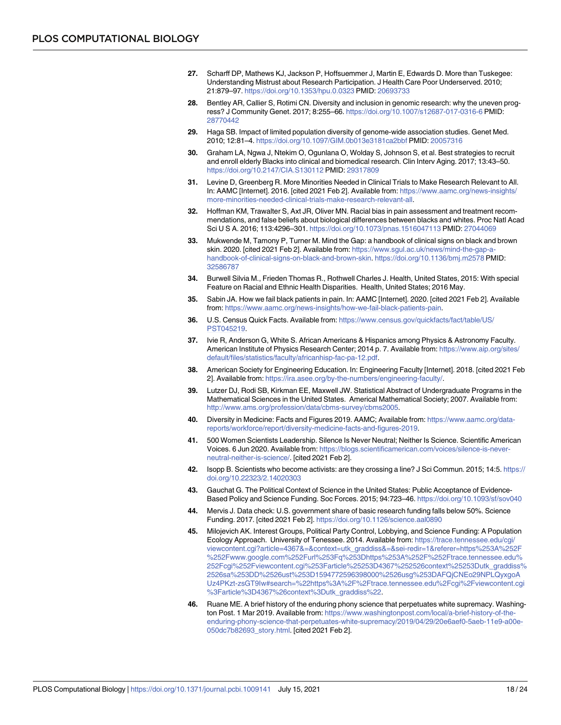- <span id="page-17-0"></span>**[27.](#page-3-0)** Scharff DP, Mathews KJ, Jackson P, Hoffsuemmer J, Martin E, Edwards D. More than Tuskegee: Understanding Mistrust about Research Participation. J Health Care Poor Underserved. 2010; 21:879–97. <https://doi.org/10.1353/hpu.0.0323> PMID: [20693733](http://www.ncbi.nlm.nih.gov/pubmed/20693733)
- **[28.](#page-3-0)** Bentley AR, Callier S, Rotimi CN. Diversity and inclusion in genomic research: why the uneven progress? J Community Genet. 2017; 8:255–66. <https://doi.org/10.1007/s12687-017-0316-6> PMID: [28770442](http://www.ncbi.nlm.nih.gov/pubmed/28770442)
- **[29.](#page-3-0)** Haga SB. Impact of limited population diversity of genome-wide association studies. Genet Med. 2010; 12:81–4. <https://doi.org/10.1097/GIM.0b013e3181ca2bbf> PMID: [20057316](http://www.ncbi.nlm.nih.gov/pubmed/20057316)
- **[30.](#page-3-0)** Graham LA, Ngwa J, Ntekim O, Ogunlana O, Wolday S, Johnson S, et al. Best strategies to recruit and enroll elderly Blacks into clinical and biomedical research. Clin Interv Aging. 2017; 13:43–50. <https://doi.org/10.2147/CIA.S130112> PMID: [29317809](http://www.ncbi.nlm.nih.gov/pubmed/29317809)
- **[31.](#page-3-0)** Levine D, Greenberg R. More Minorities Needed in Clinical Trials to Make Research Relevant to All. In: AAMC [Internet]. 2016. [cited 2021 Feb 2]. Available from: [https://www.aamc.org/news-insights/](https://www.aamc.org/news-insights/more-minorities-needed-clinical-trials-make-research-relevant-all) [more-minorities-needed-clinical-trials-make-research-relevant-all](https://www.aamc.org/news-insights/more-minorities-needed-clinical-trials-make-research-relevant-all).
- **[32.](#page-3-0)** Hoffman KM, Trawalter S, Axt JR, Oliver MN. Racial bias in pain assessment and treatment recommendations, and false beliefs about biological differences between blacks and whites. Proc Natl Acad Sci U S A. 2016; 113:4296–301. <https://doi.org/10.1073/pnas.1516047113> PMID: [27044069](http://www.ncbi.nlm.nih.gov/pubmed/27044069)
- **[33.](#page-3-0)** Mukwende M, Tamony P, Turner M. Mind the Gap: a handbook of clinical signs on black and brown skin. 2020. [cited 2021 Feb 2]. Available from: [https://www.sgul.ac.uk/news/mind-the-gap-a](https://www.sgul.ac.uk/news/mind-the-gap-a-handbook-of-clinical-signs-on-black-and-brown-skin)[handbook-of-clinical-signs-on-black-and-brown-skin](https://www.sgul.ac.uk/news/mind-the-gap-a-handbook-of-clinical-signs-on-black-and-brown-skin). <https://doi.org/10.1136/bmj.m2578> PMID: [32586787](http://www.ncbi.nlm.nih.gov/pubmed/32586787)
- **[34.](#page-3-0)** Burwell Silvia M., Frieden Thomas R., Rothwell Charles J. Health, United States, 2015: With special Feature on Racial and Ethnic Health Disparities. Health, United States; 2016 May.
- **[35.](#page-3-0)** Sabin JA. How we fail black patients in pain. In: AAMC [Internet]. 2020. [cited 2021 Feb 2]. Available from: [https://www.aamc.org/news-insights/how-we-fail-black-patients-pain.](https://www.aamc.org/news-insights/how-we-fail-black-patients-pain)
- **[36.](#page-3-0)** U.S. Census Quick Facts. Available from: [https://www.census.gov/quickfacts/fact/table/US/](https://www.census.gov/quickfacts/fact/table/US/PST045219) [PST045219.](https://www.census.gov/quickfacts/fact/table/US/PST045219)
- **37.** Ivie R, Anderson G, White S. African Americans & Hispanics among Physics & Astronomy Faculty. American Institute of Physics Research Center; 2014 p. 7. Available from: [https://www.aip.org/sites/](https://www.aip.org/sites/default/files/statistics/faculty/africanhisp-fac-pa-12.pdf) [default/files/statistics/faculty/africanhisp-fac-pa-12.pdf](https://www.aip.org/sites/default/files/statistics/faculty/africanhisp-fac-pa-12.pdf).
- **38.** American Society for Engineering Education. In: Engineering Faculty [Internet]. 2018. [cited 2021 Feb 2]. Available from: <https://ira.asee.org/by-the-numbers/engineering-faculty/>.
- **39.** Lutzer DJ, Rodi SB, Kirkman EE, Maxwell JW. Statistical Abstract of Undergraduate Programs in the Mathematical Sciences in the United States. Americal Mathematical Society; 2007. Available from: [http://www.ams.org/profession/data/cbms-survey/cbms2005.](http://www.ams.org/profession/data/cbms-survey/cbms2005)
- **[40.](#page-3-0)** Diversity in Medicine: Facts and Figures 2019. AAMC; Available from: [https://www.aamc.org/data](https://www.aamc.org/data-reports/workforce/report/diversity-medicine-facts-and-figures-2019)[reports/workforce/report/diversity-medicine-facts-and-figures-2019.](https://www.aamc.org/data-reports/workforce/report/diversity-medicine-facts-and-figures-2019)
- **[41.](#page-3-0)** 500 Women Scientists Leadership. Silence Is Never Neutral; Neither Is Science. Scientific American Voices. 6 Jun 2020. Available from: [https://blogs.scientificamerican.com/voices/silence-is-never](https://blogs.scientificamerican.com/voices/silence-is-never-neutral-neither-is-science/)[neutral-neither-is-science/](https://blogs.scientificamerican.com/voices/silence-is-never-neutral-neither-is-science/). [cited 2021 Feb 2].
- **[42.](#page-4-0)** Isopp B. Scientists who become activists: are they crossing a line? J Sci Commun. 2015; 14:5. [https://](https://doi.org/10.22323/2.14020303) [doi.org/10.22323/2.14020303](https://doi.org/10.22323/2.14020303)
- **[43.](#page-4-0)** Gauchat G. The Political Context of Science in the United States: Public Acceptance of Evidence-Based Policy and Science Funding. Soc Forces. 2015; 94:723–46. <https://doi.org/10.1093/sf/sov040>
- **[44.](#page-4-0)** Mervis J. Data check: U.S. government share of basic research funding falls below 50%. Science Funding. 2017. [cited 2021 Feb 2]. <https://doi.org/10.1126/science.aal0890>
- **[45.](#page-4-0)** Milojevich AK. Interest Groups, Political Party Control, Lobbying, and Science Funding: A Population Ecology Approach. University of Tenessee. 2014. Available from: [https://trace.tennessee.edu/cgi/](https://trace.tennessee.edu/cgi/viewcontent.cgi?article=4367&=&context=utk_graddiss&=&sei-redir=1&referer=https%253A%252F%252Fwww.google.com%252Furl%253Fq%253Dhttps%253A%252F%252Ftrace.tennessee.edu%252Fcgi%252Fviewcontent.cgi%253Farticle%25253D4367%252526context%25253Dutk_graddiss%2526sa%253DD%2526ust%253D1594772596398000%2526usg%253DAFQjCNEo29NPLQyxgoAUz4PKzt-zsGT9Iw#search=%22https%3A%2F%2Ftrace.tennessee.edu%2Fcgi%2Fviewcontent.cgi%3Farticle%3D4367%26context%3Dutk_graddiss%22) [viewcontent.cgi?article=4367&=&context=utk\\_graddiss&=&sei-redir=1&referer=https%253A%252F](https://trace.tennessee.edu/cgi/viewcontent.cgi?article=4367&=&context=utk_graddiss&=&sei-redir=1&referer=https%253A%252F%252Fwww.google.com%252Furl%253Fq%253Dhttps%253A%252F%252Ftrace.tennessee.edu%252Fcgi%252Fviewcontent.cgi%253Farticle%25253D4367%252526context%25253Dutk_graddiss%2526sa%253DD%2526ust%253D1594772596398000%2526usg%253DAFQjCNEo29NPLQyxgoAUz4PKzt-zsGT9Iw#search=%22https%3A%2F%2Ftrace.tennessee.edu%2Fcgi%2Fviewcontent.cgi%3Farticle%3D4367%26context%3Dutk_graddiss%22) [%252Fwww.google.com%252Furl%253Fq%253Dhttps%253A%252F%252Ftrace.tennessee.edu%](https://trace.tennessee.edu/cgi/viewcontent.cgi?article=4367&=&context=utk_graddiss&=&sei-redir=1&referer=https%253A%252F%252Fwww.google.com%252Furl%253Fq%253Dhttps%253A%252F%252Ftrace.tennessee.edu%252Fcgi%252Fviewcontent.cgi%253Farticle%25253D4367%252526context%25253Dutk_graddiss%2526sa%253DD%2526ust%253D1594772596398000%2526usg%253DAFQjCNEo29NPLQyxgoAUz4PKzt-zsGT9Iw#search=%22https%3A%2F%2Ftrace.tennessee.edu%2Fcgi%2Fviewcontent.cgi%3Farticle%3D4367%26context%3Dutk_graddiss%22) [252Fcgi%252Fviewcontent.cgi%253Farticle%25253D4367%252526context%25253Dutk\\_graddiss%](https://trace.tennessee.edu/cgi/viewcontent.cgi?article=4367&=&context=utk_graddiss&=&sei-redir=1&referer=https%253A%252F%252Fwww.google.com%252Furl%253Fq%253Dhttps%253A%252F%252Ftrace.tennessee.edu%252Fcgi%252Fviewcontent.cgi%253Farticle%25253D4367%252526context%25253Dutk_graddiss%2526sa%253DD%2526ust%253D1594772596398000%2526usg%253DAFQjCNEo29NPLQyxgoAUz4PKzt-zsGT9Iw#search=%22https%3A%2F%2Ftrace.tennessee.edu%2Fcgi%2Fviewcontent.cgi%3Farticle%3D4367%26context%3Dutk_graddiss%22) [2526sa%253DD%2526ust%253D1594772596398000%2526usg%253DAFQjCNEo29NPLQyxgoA](https://trace.tennessee.edu/cgi/viewcontent.cgi?article=4367&=&context=utk_graddiss&=&sei-redir=1&referer=https%253A%252F%252Fwww.google.com%252Furl%253Fq%253Dhttps%253A%252F%252Ftrace.tennessee.edu%252Fcgi%252Fviewcontent.cgi%253Farticle%25253D4367%252526context%25253Dutk_graddiss%2526sa%253DD%2526ust%253D1594772596398000%2526usg%253DAFQjCNEo29NPLQyxgoAUz4PKzt-zsGT9Iw#search=%22https%3A%2F%2Ftrace.tennessee.edu%2Fcgi%2Fviewcontent.cgi%3Farticle%3D4367%26context%3Dutk_graddiss%22) [Uz4PKzt-zsGT9Iw#search=%22https%3A%2F%2Ftrace.tennessee.edu%2Fcgi%2Fviewcontent.cgi](https://trace.tennessee.edu/cgi/viewcontent.cgi?article=4367&=&context=utk_graddiss&=&sei-redir=1&referer=https%253A%252F%252Fwww.google.com%252Furl%253Fq%253Dhttps%253A%252F%252Ftrace.tennessee.edu%252Fcgi%252Fviewcontent.cgi%253Farticle%25253D4367%252526context%25253Dutk_graddiss%2526sa%253DD%2526ust%253D1594772596398000%2526usg%253DAFQjCNEo29NPLQyxgoAUz4PKzt-zsGT9Iw#search=%22https%3A%2F%2Ftrace.tennessee.edu%2Fcgi%2Fviewcontent.cgi%3Farticle%3D4367%26context%3Dutk_graddiss%22) [%3Farticle%3D4367%26context%3Dutk\\_graddiss%22](https://trace.tennessee.edu/cgi/viewcontent.cgi?article=4367&=&context=utk_graddiss&=&sei-redir=1&referer=https%253A%252F%252Fwww.google.com%252Furl%253Fq%253Dhttps%253A%252F%252Ftrace.tennessee.edu%252Fcgi%252Fviewcontent.cgi%253Farticle%25253D4367%252526context%25253Dutk_graddiss%2526sa%253DD%2526ust%253D1594772596398000%2526usg%253DAFQjCNEo29NPLQyxgoAUz4PKzt-zsGT9Iw#search=%22https%3A%2F%2Ftrace.tennessee.edu%2Fcgi%2Fviewcontent.cgi%3Farticle%3D4367%26context%3Dutk_graddiss%22).
- **[46.](#page-4-0)** Ruane ME. A brief history of the enduring phony science that perpetuates white supremacy. Washington Post. 1 Mar 2019. Available from: [https://www.washingtonpost.com/local/a-brief-history-of-the](https://www.washingtonpost.com/local/a-brief-history-of-the-enduring-phony-science-that-perpetuates-white-supremacy/2019/04/29/20e6aef0-5aeb-11e9-a00e-050dc7b82693_story.html)[enduring-phony-science-that-perpetuates-white-supremacy/2019/04/29/20e6aef0-5aeb-11e9-a00e-](https://www.washingtonpost.com/local/a-brief-history-of-the-enduring-phony-science-that-perpetuates-white-supremacy/2019/04/29/20e6aef0-5aeb-11e9-a00e-050dc7b82693_story.html)[050dc7b82693\\_story.html](https://www.washingtonpost.com/local/a-brief-history-of-the-enduring-phony-science-that-perpetuates-white-supremacy/2019/04/29/20e6aef0-5aeb-11e9-a00e-050dc7b82693_story.html). [cited 2021 Feb 2].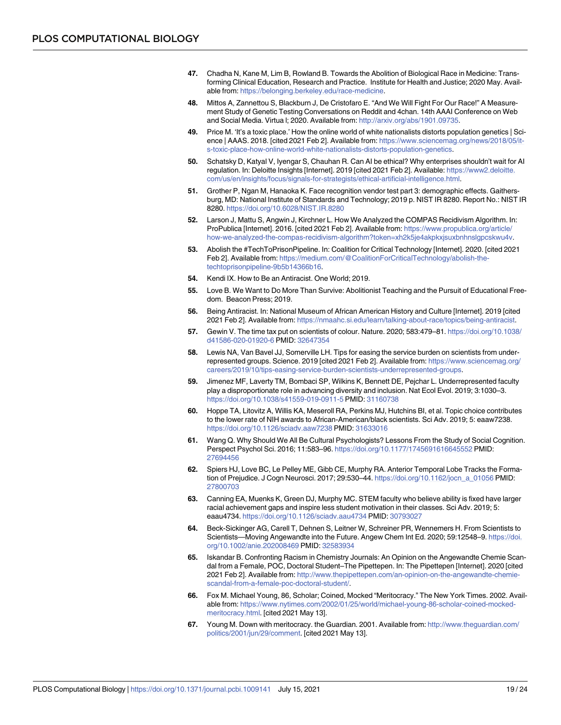- <span id="page-18-0"></span>**[47.](#page-4-0)** Chadha N, Kane M, Lim B, Rowland B. Towards the Abolition of Biological Race in Medicine: Transforming Clinical Education, Research and Practice. Institute for Health and Justice; 2020 May. Available from: [https://belonging.berkeley.edu/race-medicine.](https://belonging.berkeley.edu/race-medicine)
- **[48.](#page-4-0)** Mittos A, Zannettou S, Blackburn J, De Cristofaro E. "And We Will Fight For Our Race!" A Measurement Study of Genetic Testing Conversations on Reddit and 4chan. 14th AAAI Conference on Web and Social Media. Virtua l; 2020. Available from: <http://arxiv.org/abs/1901.09735>.
- **[49.](#page-4-0)** Price M. 'It's a toxic place.' How the online world of white nationalists distorts population genetics | Science | AAAS. 2018. [cited 2021 Feb 2]. Available from: [https://www.sciencemag.org/news/2018/05/it](https://www.sciencemag.org/news/2018/05/it-s-toxic-place-how-online-world-white-nationalists-distorts-population-genetics)[s-toxic-place-how-online-world-white-nationalists-distorts-population-genetics](https://www.sciencemag.org/news/2018/05/it-s-toxic-place-how-online-world-white-nationalists-distorts-population-genetics).
- **[50.](#page-4-0)** Schatsky D, Katyal V, Iyengar S, Chauhan R. Can AI be ethical? Why enterprises shouldn't wait for AI regulation. In: Deloitte Insights [Internet]. 2019 [cited 2021 Feb 2]. Available: [https://www2.deloitte.](https://www2.deloitte.com/us/en/insights/focus/signals-for-strategists/ethical-artificial-intelligence.html) [com/us/en/insights/focus/signals-for-strategists/ethical-artificial-intelligence.html.](https://www2.deloitte.com/us/en/insights/focus/signals-for-strategists/ethical-artificial-intelligence.html)
- **[51.](#page-4-0)** Grother P, Ngan M, Hanaoka K. Face recognition vendor test part 3: demographic effects. Gaithersburg, MD: National Institute of Standards and Technology; 2019 p. NIST IR 8280. Report No.: NIST IR 8280. <https://doi.org/10.6028/NIST.IR.8280>
- **52.** Larson J, Mattu S, Angwin J, Kirchner L. How We Analyzed the COMPAS Recidivism Algorithm. In: ProPublica [Internet]. 2016. [cited 2021 Feb 2]. Available from: [https://www.propublica.org/article/](https://www.propublica.org/article/how-we-analyzed-the-compas-recidivism-algorithm?token=xh2k5je4akpkxjsuxbnhnslgpcskwu4v) [how-we-analyzed-the-compas-recidivism-algorithm?token=xh2k5je4akpkxjsuxbnhnslgpcskwu4v.](https://www.propublica.org/article/how-we-analyzed-the-compas-recidivism-algorithm?token=xh2k5je4akpkxjsuxbnhnslgpcskwu4v)
- **[53.](#page-4-0)** Abolish the #TechToPrisonPipeline. In: Coalition for Critical Technology [Internet]. 2020. [cited 2021 Feb 2]. Available from: [https://medium.com/@CoalitionForCriticalTechnology/abolish-the](https://medium.com/@CoalitionForCriticalTechnology/abolish-the-techtoprisonpipeline-9b5b14366b16)[techtoprisonpipeline-9b5b14366b16.](https://medium.com/@CoalitionForCriticalTechnology/abolish-the-techtoprisonpipeline-9b5b14366b16)
- **[54.](#page-4-0)** Kendi IX. How to Be an Antiracist. One World; 2019.
- **[55.](#page-4-0)** Love B. We Want to Do More Than Survive: Abolitionist Teaching and the Pursuit of Educational Freedom. Beacon Press; 2019.
- **[56.](#page-4-0)** Being Antiracist. In: National Museum of African American History and Culture [Internet]. 2019 [cited 2021 Feb 2]. Available from: [https://nmaahc.si.edu/learn/talking-about-race/topics/being-antiracist.](https://nmaahc.si.edu/learn/talking-about-race/topics/being-antiracist)
- **[57.](#page-4-0)** Gewin V. The time tax put on scientists of colour. Nature. 2020; 583:479–81. [https://doi.org/10.1038/](https://doi.org/10.1038/d41586-020-01920-6) [d41586-020-01920-6](https://doi.org/10.1038/d41586-020-01920-6) PMID: [32647354](http://www.ncbi.nlm.nih.gov/pubmed/32647354)
- **[58.](#page-15-0)** Lewis NA, Van Bavel JJ, Somerville LH. Tips for easing the service burden on scientists from underrepresented groups. Science. 2019 [cited 2021 Feb 2]. Available from: [https://www.sciencemag.org/](https://www.sciencemag.org/careers/2019/10/tips-easing-service-burden-scientists-underrepresented-groups) [careers/2019/10/tips-easing-service-burden-scientists-underrepresented-groups.](https://www.sciencemag.org/careers/2019/10/tips-easing-service-burden-scientists-underrepresented-groups)
- **[59.](#page-4-0)** Jimenez MF, Laverty TM, Bombaci SP, Wilkins K, Bennett DE, Pejchar L. Underrepresented faculty play a disproportionate role in advancing diversity and inclusion. Nat Ecol Evol. 2019; 3:1030–3. <https://doi.org/10.1038/s41559-019-0911-5> PMID: [31160738](http://www.ncbi.nlm.nih.gov/pubmed/31160738)
- **[60.](#page-4-0)** Hoppe TA, Litovitz A, Willis KA, Meseroll RA, Perkins MJ, Hutchins BI, et al. Topic choice contributes to the lower rate of NIH awards to African-American/black scientists. Sci Adv. 2019; 5: eaaw7238. <https://doi.org/10.1126/sciadv.aaw7238> PMID: [31633016](http://www.ncbi.nlm.nih.gov/pubmed/31633016)
- **[61.](#page-5-0)** Wang Q. Why Should We All Be Cultural Psychologists? Lessons From the Study of Social Cognition. Perspect Psychol Sci. 2016; 11:583–96. <https://doi.org/10.1177/1745691616645552> PMID: [27694456](http://www.ncbi.nlm.nih.gov/pubmed/27694456)
- **[62.](#page-5-0)** Spiers HJ, Love BC, Le Pelley ME, Gibb CE, Murphy RA. Anterior Temporal Lobe Tracks the Formation of Prejudice. J Cogn Neurosci. 2017; 29:530-44. [https://doi.org/10.1162/jocn\\_a\\_01056](https://doi.org/10.1162/jocn%5Fa%5F01056) PMID: [27800703](http://www.ncbi.nlm.nih.gov/pubmed/27800703)
- **[63.](#page-5-0)** Canning EA, Muenks K, Green DJ, Murphy MC. STEM faculty who believe ability is fixed have larger racial achievement gaps and inspire less student motivation in their classes. Sci Adv. 2019; 5: eaau4734. <https://doi.org/10.1126/sciadv.aau4734> PMID: [30793027](http://www.ncbi.nlm.nih.gov/pubmed/30793027)
- **[64.](#page-5-0)** Beck-Sickinger AG, Carell T, Dehnen S, Leitner W, Schreiner PR, Wennemers H. From Scientists to Scientists—Moving Angewandte into the Future. Angew Chem Int Ed. 2020; 59:12548–9. [https://doi.](https://doi.org/10.1002/anie.202008469) [org/10.1002/anie.202008469](https://doi.org/10.1002/anie.202008469) PMID: [32583934](http://www.ncbi.nlm.nih.gov/pubmed/32583934)
- **[65.](#page-5-0)** Iskandar B. Confronting Racism in Chemistry Journals: An Opinion on the Angewandte Chemie Scandal from a Female, POC, Doctoral Student–The Pipettepen. In: The Pipettepen [Internet]. 2020 [cited 2021 Feb 2]. Available from: [http://www.thepipettepen.com/an-opinion-on-the-angewandte-chemie](http://www.thepipettepen.com/an-opinion-on-the-angewandte-chemie-scandal-from-a-female-poc-doctoral-student/)[scandal-from-a-female-poc-doctoral-student/](http://www.thepipettepen.com/an-opinion-on-the-angewandte-chemie-scandal-from-a-female-poc-doctoral-student/).
- **[66.](#page-5-0)** Fox M. Michael Young, 86, Scholar; Coined, Mocked "Meritocracy." The New York Times. 2002. Available from: [https://www.nytimes.com/2002/01/25/world/michael-young-86-scholar-coined-mocked](https://www.nytimes.com/2002/01/25/world/michael-young-86-scholar-coined-mocked-meritocracy.html)[meritocracy.html.](https://www.nytimes.com/2002/01/25/world/michael-young-86-scholar-coined-mocked-meritocracy.html) [cited 2021 May 13].
- **[67.](#page-5-0)** Young M. Down with meritocracy. the Guardian. 2001. Available from: [http://www.theguardian.com/](http://www.theguardian.com/politics/2001/jun/29/comment) [politics/2001/jun/29/comment.](http://www.theguardian.com/politics/2001/jun/29/comment) [cited 2021 May 13].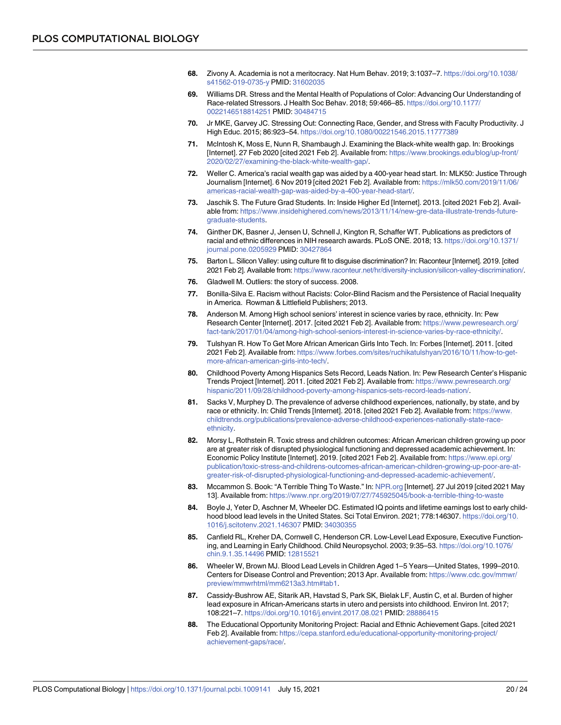- <span id="page-19-0"></span>**[68.](#page-5-0)** Zivony A. Academia is not a meritocracy. Nat Hum Behav. 2019; 3:1037–7. [https://doi.org/10.1038/](https://doi.org/10.1038/s41562-019-0735-y) [s41562-019-0735-y](https://doi.org/10.1038/s41562-019-0735-y) PMID: [31602035](http://www.ncbi.nlm.nih.gov/pubmed/31602035)
- **[69.](#page-5-0)** Williams DR. Stress and the Mental Health of Populations of Color: Advancing Our Understanding of Race-related Stressors. J Health Soc Behav. 2018; 59:466–85. [https://doi.org/10.1177/](https://doi.org/10.1177/0022146518814251) [0022146518814251](https://doi.org/10.1177/0022146518814251) PMID: [30484715](http://www.ncbi.nlm.nih.gov/pubmed/30484715)
- **[70.](#page-5-0)** Jr MKE, Garvey JC. Stressing Out: Connecting Race, Gender, and Stress with Faculty Productivity. J High Educ. 2015; 86:923–54. <https://doi.org/10.1080/00221546.2015.11777389>
- **[71.](#page-6-0)** McIntosh K, Moss E, Nunn R, Shambaugh J. Examining the Black-white wealth gap. In: Brookings [Internet]. 27 Feb 2020 [cited 2021 Feb 2]. Available from: [https://www.brookings.edu/blog/up-front/](https://www.brookings.edu/blog/up-front/2020/02/27/examining-the-black-white-wealth-gap/) [2020/02/27/examining-the-black-white-wealth-gap/](https://www.brookings.edu/blog/up-front/2020/02/27/examining-the-black-white-wealth-gap/).
- **[72.](#page-6-0)** Weller C. America's racial wealth gap was aided by a 400-year head start. In: MLK50: Justice Through Journalism [Internet]. 6 Nov 2019 [cited 2021 Feb 2]. Available from: [https://mlk50.com/2019/11/06/](https://mlk50.com/2019/11/06/americas-racial-wealth-gap-was-aided-by-a-400-year-head-start/) [americas-racial-wealth-gap-was-aided-by-a-400-year-head-start/](https://mlk50.com/2019/11/06/americas-racial-wealth-gap-was-aided-by-a-400-year-head-start/).
- **[73.](#page-6-0)** Jaschik S. The Future Grad Students. In: Inside Higher Ed [Internet]. 2013. [cited 2021 Feb 2]. Available from: [https://www.insidehighered.com/news/2013/11/14/new-gre-data-illustrate-trends-future](https://www.insidehighered.com/news/2013/11/14/new-gre-data-illustrate-trends-future-graduate-students)[graduate-students](https://www.insidehighered.com/news/2013/11/14/new-gre-data-illustrate-trends-future-graduate-students).
- **[74.](#page-6-0)** Ginther DK, Basner J, Jensen U, Schnell J, Kington R, Schaffer WT. Publications as predictors of racial and ethnic differences in NIH research awards. PLoS ONE. 2018; 13. [https://doi.org/10.1371/](https://doi.org/10.1371/journal.pone.0205929) [journal.pone.0205929](https://doi.org/10.1371/journal.pone.0205929) PMID: [30427864](http://www.ncbi.nlm.nih.gov/pubmed/30427864)
- **[75.](#page-6-0)** Barton L. Silicon Valley: using culture fit to disguise discrimination? In: Raconteur [Internet]. 2019. [cited 2021 Feb 2]. Available from: <https://www.raconteur.net/hr/diversity-inclusion/silicon-valley-discrimination/>.
- **[76.](#page-6-0)** Gladwell M. Outliers: the story of success. 2008.
- **[77.](#page-7-0)** Bonilla-Silva E. Racism without Racists: Color-Blind Racism and the Persistence of Racial Inequality in America. Rowman & Littlefield Publishers; 2013.
- **[78.](#page-7-0)** Anderson M. Among High school seniors' interest in science varies by race, ethnicity. In: Pew Research Center [Internet]. 2017. [cited 2021 Feb 2]. Available from: [https://www.pewresearch.org/](https://www.pewresearch.org/fact-tank/2017/01/04/among-high-school-seniors-interest-in-science-varies-by-race-ethnicity/) [fact-tank/2017/01/04/among-high-school-seniors-interest-in-science-varies-by-race-ethnicity/.](https://www.pewresearch.org/fact-tank/2017/01/04/among-high-school-seniors-interest-in-science-varies-by-race-ethnicity/)
- **[79.](#page-7-0)** Tulshyan R. How To Get More African American Girls Into Tech. In: Forbes [Internet]. 2011. [cited 2021 Feb 2]. Available from: [https://www.forbes.com/sites/ruchikatulshyan/2016/10/11/how-to-get](https://www.forbes.com/sites/ruchikatulshyan/2016/10/11/how-to-get-more-african-american-girls-into-tech/)[more-african-american-girls-into-tech/](https://www.forbes.com/sites/ruchikatulshyan/2016/10/11/how-to-get-more-african-american-girls-into-tech/).
- **[80.](#page-7-0)** Childhood Poverty Among Hispanics Sets Record, Leads Nation. In: Pew Research Center's Hispanic Trends Project [Internet]. 2011. [cited 2021 Feb 2]. Available from: [https://www.pewresearch.org/](https://www.pewresearch.org/hispanic/2011/09/28/childhood-poverty-among-hispanics-sets-record-leads-nation/) [hispanic/2011/09/28/childhood-poverty-among-hispanics-sets-record-leads-nation/.](https://www.pewresearch.org/hispanic/2011/09/28/childhood-poverty-among-hispanics-sets-record-leads-nation/)
- **[81.](#page-7-0)** Sacks V, Murphey D. The prevalence of adverse childhood experiences, nationally, by state, and by race or ethnicity. In: Child Trends [Internet]. 2018. [cited 2021 Feb 2]. Available from: [https://www.](https://www.childtrends.org/publications/prevalence-adverse-childhood-experiences-nationally-state-race-ethnicity) [childtrends.org/publications/prevalence-adverse-childhood-experiences-nationally-state-race](https://www.childtrends.org/publications/prevalence-adverse-childhood-experiences-nationally-state-race-ethnicity)[ethnicity.](https://www.childtrends.org/publications/prevalence-adverse-childhood-experiences-nationally-state-race-ethnicity)
- **[82.](#page-7-0)** Morsy L, Rothstein R. Toxic stress and children outcomes: African American children growing up poor are at greater risk of disrupted physiological functioning and depressed academic achievement. In: Economic Policy Institute [Internet]. 2019. [cited 2021 Feb 2]. Available from: [https://www.epi.org/](https://www.epi.org/publication/toxic-stress-and-childrens-outcomes-african-american-children-growing-up-poor-are-at-greater-risk-of-disrupted-physiological-functioning-and-depressed-academic-achievement/) [publication/toxic-stress-and-childrens-outcomes-african-american-children-growing-up-poor-are-at](https://www.epi.org/publication/toxic-stress-and-childrens-outcomes-african-american-children-growing-up-poor-are-at-greater-risk-of-disrupted-physiological-functioning-and-depressed-academic-achievement/)[greater-risk-of-disrupted-physiological-functioning-and-depressed-academic-achievement/.](https://www.epi.org/publication/toxic-stress-and-childrens-outcomes-african-american-children-growing-up-poor-are-at-greater-risk-of-disrupted-physiological-functioning-and-depressed-academic-achievement/)
- **[83.](#page-7-0)** Mccammon S. Book: "A Terrible Thing To Waste." In: [NPR.org](http://NPR.org) [Internet]. 27 Jul 2019 [cited 2021 May 13]. Available from: <https://www.npr.org/2019/07/27/745925045/book-a-terrible-thing-to-waste>
- **[84.](#page-7-0)** Boyle J, Yeter D, Aschner M, Wheeler DC. Estimated IQ points and lifetime earnings lost to early childhood blood lead levels in the United States. Sci Total Environ. 2021; 778:146307. [https://doi.org/10.](https://doi.org/10.1016/j.scitotenv.2021.146307) [1016/j.scitotenv.2021.146307](https://doi.org/10.1016/j.scitotenv.2021.146307) PMID: [34030355](http://www.ncbi.nlm.nih.gov/pubmed/34030355)
- **[85.](#page-7-0)** Canfield RL, Kreher DA, Cornwell C, Henderson CR. Low-Level Lead Exposure, Executive Functioning, and Learning in Early Childhood. Child Neuropsychol. 2003; 9:35–53. [https://doi.org/10.1076/](https://doi.org/10.1076/chin.9.1.35.14496) [chin.9.1.35.14496](https://doi.org/10.1076/chin.9.1.35.14496) PMID: [12815521](http://www.ncbi.nlm.nih.gov/pubmed/12815521)
- **[86.](#page-7-0)** Wheeler W, Brown MJ. Blood Lead Levels in Children Aged 1–5 Years—United States, 1999–2010. Centers for Disease Control and Prevention; 2013 Apr. Available from: [https://www.cdc.gov/mmwr/](https://www.cdc.gov/mmwr/preview/mmwrhtml/mm6213a3.htm#tab1) [preview/mmwrhtml/mm6213a3.htm#tab1](https://www.cdc.gov/mmwr/preview/mmwrhtml/mm6213a3.htm#tab1).
- **[87.](#page-7-0)** Cassidy-Bushrow AE, Sitarik AR, Havstad S, Park SK, Bielak LF, Austin C, et al. Burden of higher lead exposure in African-Americans starts in utero and persists into childhood. Environ Int. 2017; 108:221–7. <https://doi.org/10.1016/j.envint.2017.08.021> PMID: [28886415](http://www.ncbi.nlm.nih.gov/pubmed/28886415)
- **[88.](#page-7-0)** The Educational Opportunity Monitoring Project: Racial and Ethnic Achievement Gaps. [cited 2021 Feb 2]. Available from: [https://cepa.stanford.edu/educational-opportunity-monitoring-project/](https://cepa.stanford.edu/educational-opportunity-monitoring-project/achievement-gaps/race/) [achievement-gaps/race/.](https://cepa.stanford.edu/educational-opportunity-monitoring-project/achievement-gaps/race/)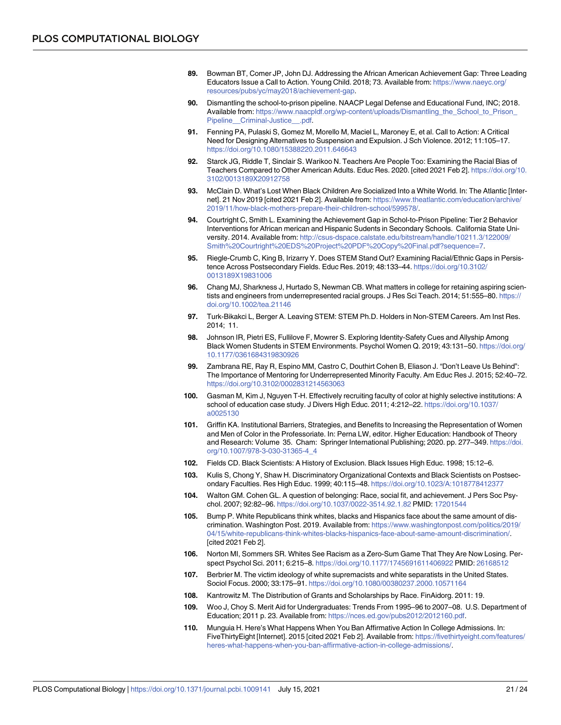- <span id="page-20-0"></span>**[89.](#page-7-0)** Bowman BT, Comer JP, John DJ. Addressing the African American Achievement Gap: Three Leading Educators Issue a Call to Action. Young Child. 2018; 73. Available from: [https://www.naeyc.org/](https://www.naeyc.org/resources/pubs/yc/may2018/achievement-gap) [resources/pubs/yc/may2018/achievement-gap.](https://www.naeyc.org/resources/pubs/yc/may2018/achievement-gap)
- **[90.](#page-8-0)** Dismantling the school-to-prison pipeline. NAACP Legal Defense and Educational Fund, INC; 2018. Available from: [https://www.naacpldf.org/wp-content/uploads/Dismantling\\_the\\_School\\_to\\_Prison\\_](https://www.naacpldf.org/wp-content/uploads/Dismantling_the_School_to_Prison_Pipeline__Criminal-Justice__.pdf) Pipeline\_Criminal-Justice\_\_.pdf.
- **[91.](#page-8-0)** Fenning PA, Pulaski S, Gomez M, Morello M, Maciel L, Maroney E, et al. Call to Action: A Critical Need for Designing Alternatives to Suspension and Expulsion. J Sch Violence. 2012; 11:105–17. <https://doi.org/10.1080/15388220.2011.646643>
- **[92.](#page-8-0)** Starck JG, Riddle T, Sinclair S. Warikoo N. Teachers Are People Too: Examining the Racial Bias of Teachers Compared to Other American Adults. Educ Res. 2020. [cited 2021 Feb 2]. [https://doi.org/10.](https://doi.org/10.3102/0013189X20912758) [3102/0013189X20912758](https://doi.org/10.3102/0013189X20912758)
- **[93.](#page-8-0)** McClain D. What's Lost When Black Children Are Socialized Into a White World. In: The Atlantic [Internet]. 21 Nov 2019 [cited 2021 Feb 2]. Available from: [https://www.theatlantic.com/education/archive/](https://www.theatlantic.com/education/archive/2019/11/how-black-mothers-prepare-their-children-school/599578/) [2019/11/how-black-mothers-prepare-their-children-school/599578/](https://www.theatlantic.com/education/archive/2019/11/how-black-mothers-prepare-their-children-school/599578/).
- **[94.](#page-8-0)** Courtright C, Smith L. Examining the Achievement Gap in Schol-to-Prison Pipeline: Tier 2 Behavior Interventions for African merican and Hispanic Sudents in Secondary Schools. California State University. 2014. Available from: [http://csus-dspace.calstate.edu/bitstream/handle/10211.3/122009/](http://csus-dspace.calstate.edu/bitstream/handle/10211.3/122009/Smith%20Courtright%20EDS%20Project%20PDF%20Copy%20Final.pdf?sequence=7) [Smith%20Courtright%20EDS%20Project%20PDF%20Copy%20Final.pdf?sequence=7.](http://csus-dspace.calstate.edu/bitstream/handle/10211.3/122009/Smith%20Courtright%20EDS%20Project%20PDF%20Copy%20Final.pdf?sequence=7)
- **[95.](#page-8-0)** Riegle-Crumb C, King B, Irizarry Y. Does STEM Stand Out? Examining Racial/Ethnic Gaps in Persistence Across Postsecondary Fields. Educ Res. 2019; 48:133–44. [https://doi.org/10.3102/](https://doi.org/10.3102/0013189X19831006) [0013189X19831006](https://doi.org/10.3102/0013189X19831006)
- **[96.](#page-8-0)** Chang MJ, Sharkness J, Hurtado S, Newman CB. What matters in college for retaining aspiring scientists and engineers from underrepresented racial groups. J Res Sci Teach. 2014; 51:555-80. [https://](https://doi.org/10.1002/tea.21146) [doi.org/10.1002/tea.21146](https://doi.org/10.1002/tea.21146)
- **[97.](#page-8-0)** Turk-Bikakci L, Berger A. Leaving STEM: STEM Ph.D. Holders in Non-STEM Careers. Am Inst Res. 2014; 11.
- **[98.](#page-8-0)** Johnson IR, Pietri ES, Fullilove F, Mowrer S. Exploring Identity-Safety Cues and Allyship Among Black Women Students in STEM Environments. Psychol Women Q. 2019; 43:131–50. [https://doi.org/](https://doi.org/10.1177/0361684319830926) [10.1177/0361684319830926](https://doi.org/10.1177/0361684319830926)
- **[99.](#page-8-0)** Zambrana RE, Ray R, Espino MM, Castro C, Douthirt Cohen B, Eliason J. "Don't Leave Us Behind": The Importance of Mentoring for Underrepresented Minority Faculty. Am Educ Res J. 2015; 52:40–72. <https://doi.org/10.3102/0002831214563063>
- **[100.](#page-8-0)** Gasman M, Kim J, Nguyen T-H. Effectively recruiting faculty of color at highly selective institutions: A school of education case study. J Divers High Educ. 2011; 4:212–22. [https://doi.org/10.1037/](https://doi.org/10.1037/a0025130) [a0025130](https://doi.org/10.1037/a0025130)
- **[101.](#page-8-0)** Griffin KA. Institutional Barriers, Strategies, and Benefits to Increasing the Representation of Women and Men of Color in the Professoriate. In: Perna LW, editor. Higher Education: Handbook of Theory and Research: Volume 35. Cham: Springer International Publishing; 2020. pp. 277–349. [https://doi.](https://doi.org/10.1007/978-3-030-31365-4%5F4) [org/10.1007/978-3-030-31365-4\\_4](https://doi.org/10.1007/978-3-030-31365-4%5F4)
- **[102.](#page-8-0)** Fields CD. Black Scientists: A History of Exclusion. Black Issues High Educ. 1998; 15:12–6.
- **[103.](#page-8-0)** Kulis S, Chong Y, Shaw H. Discriminatory Organizational Contexts and Black Scientists on Postsecondary Faculties. Res High Educ. 1999; 40:115–48. [https://doi.org/10.1023/A:1018778412377](https://doi.org/10.1023/A%3A1018778412377)
- **[104.](#page-8-0)** Walton GM. Cohen GL. A question of belonging: Race, social fit, and achievement. J Pers Soc Psychol. 2007; 92:82–96. <https://doi.org/10.1037/0022-3514.92.1.82> PMID: [17201544](http://www.ncbi.nlm.nih.gov/pubmed/17201544)
- **[105.](#page-9-0)** Bump P. White Republicans think whites, blacks and Hispanics face about the same amount of discrimination. Washington Post. 2019. Available from: [https://www.washingtonpost.com/politics/2019/](https://www.washingtonpost.com/politics/2019/04/15/white-republicans-think-whites-blacks-hispanics-face-about-same-amount-discrimination/) [04/15/white-republicans-think-whites-blacks-hispanics-face-about-same-amount-discrimination/](https://www.washingtonpost.com/politics/2019/04/15/white-republicans-think-whites-blacks-hispanics-face-about-same-amount-discrimination/). [cited 2021 Feb 2].
- **[106.](#page-9-0)** Norton MI, Sommers SR. Whites See Racism as a Zero-Sum Game That They Are Now Losing. Perspect Psychol Sci. 2011; 6:215–8. <https://doi.org/10.1177/1745691611406922> PMID: [26168512](http://www.ncbi.nlm.nih.gov/pubmed/26168512)
- **[107.](#page-9-0)** Berbrier M. The victim ideology of white supremacists and white separatists in the United States. Sociol Focus. 2000; 33:175–91. <https://doi.org/10.1080/00380237.2000.10571164>
- **[108.](#page-9-0)** Kantrowitz M. The Distribution of Grants and Scholarships by Race. FinAidorg. 2011: 19.
- **[109.](#page-9-0)** Woo J, Choy S. Merit Aid for Undergraduates: Trends From 1995–96 to 2007–08. U.S. Department of Education; 2011 p. 23. Available from: <https://nces.ed.gov/pubs2012/2012160.pdf>.
- **[110.](#page-9-0)** Munguia H. Here's What Happens When You Ban Affirmative Action In College Admissions. In: FiveThirtyEight [Internet]. 2015 [cited 2021 Feb 2]. Available from: [https://fivethirtyeight.com/features/](https://fivethirtyeight.com/features/heres-what-happens-when-you-ban-affirmative-action-in-college-admissions/) [heres-what-happens-when-you-ban-affirmative-action-in-college-admissions/.](https://fivethirtyeight.com/features/heres-what-happens-when-you-ban-affirmative-action-in-college-admissions/)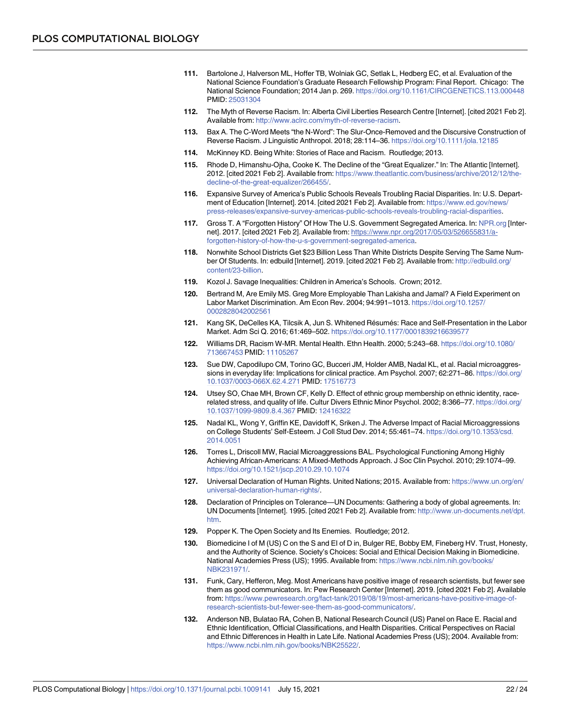- <span id="page-21-0"></span>**[111.](#page-9-0)** Bartolone J, Halverson ML, Hoffer TB, Wolniak GC, Setlak L, Hedberg EC, et al. Evaluation of the National Science Foundation's Graduate Research Fellowship Program: Final Report. Chicago: The National Science Foundation; 2014 Jan p. 269. <https://doi.org/10.1161/CIRCGENETICS.113.000448> PMID: [25031304](http://www.ncbi.nlm.nih.gov/pubmed/25031304)
- **[112.](#page-9-0)** The Myth of Reverse Racism. In: Alberta Civil Liberties Research Centre [Internet]. [cited 2021 Feb 2]. Available from: <http://www.aclrc.com/myth-of-reverse-racism>.
- **113.** Bax A. The C-Word Meets "the N-Word": The Slur-Once-Removed and the Discursive Construction of Reverse Racism. J Linguistic Anthropol. 2018; 28:114–36. <https://doi.org/10.1111/jola.12185>
- **[114.](#page-9-0)** McKinney KD. Being White: Stories of Race and Racism. Routledge; 2013.
- **[115.](#page-9-0)** Rhode D, Himanshu-Ojha, Cooke K. The Decline of the "Great Equalizer." In: The Atlantic [Internet]. 2012. [cited 2021 Feb 2]. Available from: [https://www.theatlantic.com/business/archive/2012/12/the](https://www.theatlantic.com/business/archive/2012/12/the-decline-of-the-great-equalizer/266455/)[decline-of-the-great-equalizer/266455/](https://www.theatlantic.com/business/archive/2012/12/the-decline-of-the-great-equalizer/266455/).
- **[116.](#page-10-0)** Expansive Survey of America's Public Schools Reveals Troubling Racial Disparities. In: U.S. Department of Education [Internet]. 2014. [cited 2021 Feb 2]. Available from: [https://www.ed.gov/news/](https://www.ed.gov/news/press-releases/expansive-survey-americas-public-schools-reveals-troubling-racial-disparities) [press-releases/expansive-survey-americas-public-schools-reveals-troubling-racial-disparities.](https://www.ed.gov/news/press-releases/expansive-survey-americas-public-schools-reveals-troubling-racial-disparities)
- **[117.](#page-10-0)** Gross T. A "Forgotten History" Of How The U.S. Government Segregated America. In: [NPR.org](http://NPR.org) [Internet]. 2017. [cited 2021 Feb 2]. Available from: [https://www.npr.org/2017/05/03/526655831/a](https://www.npr.org/2017/05/03/526655831/a-forgotten-history-of-how-the-u-s-government-segregated-america)[forgotten-history-of-how-the-u-s-government-segregated-america.](https://www.npr.org/2017/05/03/526655831/a-forgotten-history-of-how-the-u-s-government-segregated-america)
- **[118.](#page-10-0)** Nonwhite School Districts Get \$23 Billion Less Than White Districts Despite Serving The Same Number Of Students. In: edbuild [Internet]. 2019. [cited 2021 Feb 2]. Available from: [http://edbuild.org/](http://edbuild.org/content/23-billion) [content/23-billion](http://edbuild.org/content/23-billion).
- **[119.](#page-10-0)** Kozol J. Savage Inequalities: Children in America's Schools. Crown; 2012.
- **[120.](#page-10-0)** Bertrand M, Are Emily MS. Greg More Employable Than Lakisha and Jamal? A Field Experiment on Labor Market Discrimination. Am Econ Rev. 2004; 94:991–1013. [https://doi.org/10.1257/](https://doi.org/10.1257/0002828042002561) [0002828042002561](https://doi.org/10.1257/0002828042002561)
- **[121.](#page-10-0)** Kang SK, DeCelles KA, Tilcsik A, Jun S. Whitened Résumés: Race and Self-Presentation in the Labor Market. Adm Sci Q. 2016; 61:469–502. <https://doi.org/10.1177/0001839216639577>
- **[122.](#page-10-0)** Williams DR, Racism W-MR. Mental Health. Ethn Health. 2000; 5:243–68. [https://doi.org/10.1080/](https://doi.org/10.1080/713667453) [713667453](https://doi.org/10.1080/713667453) PMID: [11105267](http://www.ncbi.nlm.nih.gov/pubmed/11105267)
- **[123.](#page-10-0)** Sue DW, Capodilupo CM, Torino GC, Bucceri JM, Holder AMB, Nadal KL, et al. Racial microaggressions in everyday life: Implications for clinical practice. Am Psychol. 2007; 62:271-86. [https://doi.org/](https://doi.org/10.1037/0003-066X.62.4.271) [10.1037/0003-066X.62.4.271](https://doi.org/10.1037/0003-066X.62.4.271) PMID: [17516773](http://www.ncbi.nlm.nih.gov/pubmed/17516773)
- **[124.](#page-11-0)** Utsey SO, Chae MH, Brown CF, Kelly D. Effect of ethnic group membership on ethnic identity, racerelated stress, and quality of life. Cultur Divers Ethnic Minor Psychol. 2002; 8:366–77. [https://doi.org/](https://doi.org/10.1037/1099-9809.8.4.367) [10.1037/1099-9809.8.4.367](https://doi.org/10.1037/1099-9809.8.4.367) PMID: [12416322](http://www.ncbi.nlm.nih.gov/pubmed/12416322)
- **[125.](#page-11-0)** Nadal KL, Wong Y, Griffin KE, Davidoff K, Sriken J. The Adverse Impact of Racial Microaggressions on College Students' Self-Esteem. J Coll Stud Dev. 2014; 55:461–74. [https://doi.org/10.1353/csd.](https://doi.org/10.1353/csd.2014.0051) [2014.0051](https://doi.org/10.1353/csd.2014.0051)
- **[126.](#page-11-0)** Torres L, Driscoll MW, Racial Microaggressions BAL. Psychological Functioning Among Highly Achieving African-Americans: A Mixed-Methods Approach. J Soc Clin Psychol. 2010; 29:1074–99. <https://doi.org/10.1521/jscp.2010.29.10.1074>
- **[127.](#page-11-0)** Universal Declaration of Human Rights. United Nations; 2015. Available from: [https://www.un.org/en/](https://www.un.org/en/universal-declaration-human-rights/) [universal-declaration-human-rights/](https://www.un.org/en/universal-declaration-human-rights/).
- **[128.](#page-11-0)** Declaration of Principles on Tolerance—UN Documents: Gathering a body of global agreements. In: UN Documents [Internet]. 1995. [cited 2021 Feb 2]. Available from: [http://www.un-documents.net/dpt.](http://www.un-documents.net/dpt.htm) [htm](http://www.un-documents.net/dpt.htm).
- **[129.](#page-11-0)** Popper K. The Open Society and Its Enemies. Routledge; 2012.
- **[130.](#page-11-0)** Biomedicine I of M (US) C on the S and EI of D in, Bulger RE, Bobby EM, Fineberg HV. Trust, Honesty, and the Authority of Science. Society's Choices: Social and Ethical Decision Making in Biomedicine. National Academies Press (US); 1995. Available from: [https://www.ncbi.nlm.nih.gov/books/](https://www.ncbi.nlm.nih.gov/books/NBK231971/) [NBK231971/.](https://www.ncbi.nlm.nih.gov/books/NBK231971/)
- **[131.](#page-11-0)** Funk, Cary, Hefferon, Meg. Most Americans have positive image of research scientists, but fewer see them as good communicators. In: Pew Research Center [Internet]. 2019. [cited 2021 Feb 2]. Available from: [https://www.pewresearch.org/fact-tank/2019/08/19/most-americans-have-positive-image-of](https://www.pewresearch.org/fact-tank/2019/08/19/most-americans-have-positive-image-of-research-scientists-but-fewer-see-them-as-good-communicators/)[research-scientists-but-fewer-see-them-as-good-communicators/.](https://www.pewresearch.org/fact-tank/2019/08/19/most-americans-have-positive-image-of-research-scientists-but-fewer-see-them-as-good-communicators/)
- **[132.](#page-11-0)** Anderson NB, Bulatao RA, Cohen B, National Research Council (US) Panel on Race E. Racial and Ethnic Identification, Official Classifications, and Health Disparities. Critical Perspectives on Racial and Ethnic Differences in Health in Late Life. National Academies Press (US); 2004. Available from: <https://www.ncbi.nlm.nih.gov/books/NBK25522/>.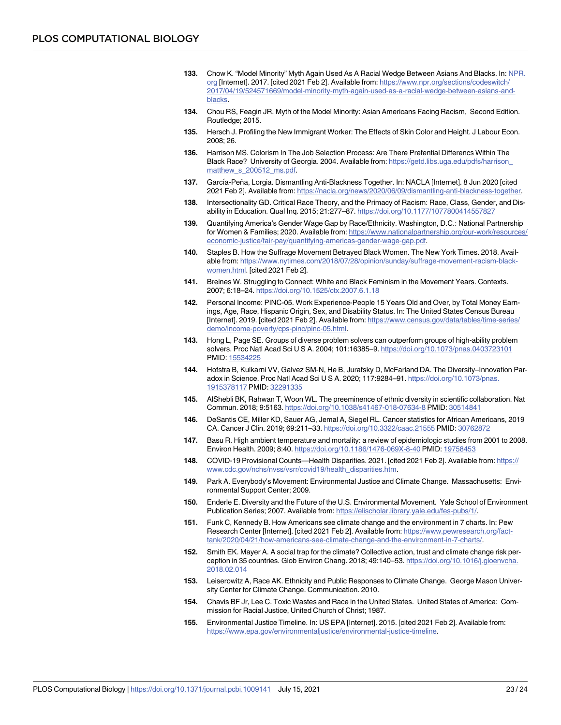- <span id="page-22-0"></span>**[133.](#page-11-0)** Chow K. "Model Minority" Myth Again Used As A Racial Wedge Between Asians And Blacks. In: [NPR.](http://NPR.org) [org](http://NPR.org) [Internet]. 2017. [cited 2021 Feb 2]. Available from: [https://www.npr.org/sections/codeswitch/](https://www.npr.org/sections/codeswitch/2017/04/19/524571669/model-minority-myth-again-used-as-a-racial-wedge-between-asians-and-blacks) [2017/04/19/524571669/model-minority-myth-again-used-as-a-racial-wedge-between-asians-and](https://www.npr.org/sections/codeswitch/2017/04/19/524571669/model-minority-myth-again-used-as-a-racial-wedge-between-asians-and-blacks)[blacks](https://www.npr.org/sections/codeswitch/2017/04/19/524571669/model-minority-myth-again-used-as-a-racial-wedge-between-asians-and-blacks).
- **[134.](#page-11-0)** Chou RS, Feagin JR. Myth of the Model Minority: Asian Americans Facing Racism, Second Edition. Routledge; 2015.
- **[135.](#page-11-0)** Hersch J. Profiling the New Immigrant Worker: The Effects of Skin Color and Height. J Labour Econ. 2008; 26.
- **[136.](#page-11-0)** Harrison MS. Colorism In The Job Selection Process: Are There Prefential Differencs Within The Black Race? University of Georgia. 2004. Available from: [https://getd.libs.uga.edu/pdfs/harrison\\_](https://getd.libs.uga.edu/pdfs/harrison_matthew_s_200512_ms.pdf) [matthew\\_s\\_200512\\_ms.pdf.](https://getd.libs.uga.edu/pdfs/harrison_matthew_s_200512_ms.pdf)
- [137.](#page-11-0) García-Peña, Lorgia. Dismantling Anti-Blackness Together. In: NACLA [Internet]. 8 Jun 2020 [cited 2021 Feb 2]. Available from: [https://nacla.org/news/2020/06/09/dismantling-anti-blackness-together.](https://nacla.org/news/2020/06/09/dismantling-anti-blackness-together)
- **[138.](#page-12-0)** Intersectionality GD. Critical Race Theory, and the Primacy of Racism: Race, Class, Gender, and Disability in Education. Qual Inq. 2015; 21:277–87. <https://doi.org/10.1177/1077800414557827>
- **[139.](#page-12-0)** Quantifying America's Gender Wage Gap by Race/Ethnicity. Washington, D.C.: National Partnership for Women & Families; 2020. Available from: [https://www.nationalpartnership.org/our-work/resources/](https://www.nationalpartnership.org/our-work/resources/economic-justice/fair-pay/quantifying-americas-gender-wage-gap.pdf) [economic-justice/fair-pay/quantifying-americas-gender-wage-gap.pdf.](https://www.nationalpartnership.org/our-work/resources/economic-justice/fair-pay/quantifying-americas-gender-wage-gap.pdf)
- **[140.](#page-12-0)** Staples B. How the Suffrage Movement Betrayed Black Women. The New York Times. 2018. Available from: [https://www.nytimes.com/2018/07/28/opinion/sunday/suffrage-movement-racism-black](https://www.nytimes.com/2018/07/28/opinion/sunday/suffrage-movement-racism-black-women.html)[women.html](https://www.nytimes.com/2018/07/28/opinion/sunday/suffrage-movement-racism-black-women.html). [cited 2021 Feb 2].
- **[141.](#page-12-0)** Breines W. Struggling to Connect: White and Black Feminism in the Movement Years. Contexts. 2007; 6:18–24. <https://doi.org/10.1525/ctx.2007.6.1.18>
- **[142.](#page-12-0)** Personal Income: PINC-05. Work Experience-People 15 Years Old and Over, by Total Money Earnings, Age, Race, Hispanic Origin, Sex, and Disability Status. In: The United States Census Bureau [Internet]. 2019. [cited 2021 Feb 2]. Available from: [https://www.census.gov/data/tables/time-series/](https://www.census.gov/data/tables/time-series/demo/income-poverty/cps-pinc/pinc-05.html) [demo/income-poverty/cps-pinc/pinc-05.html](https://www.census.gov/data/tables/time-series/demo/income-poverty/cps-pinc/pinc-05.html).
- **[143.](#page-13-0)** Hong L, Page SE. Groups of diverse problem solvers can outperform groups of high-ability problem solvers. Proc Natl Acad Sci U S A. 2004; 101:16385–9. <https://doi.org/10.1073/pnas.0403723101> PMID: [15534225](http://www.ncbi.nlm.nih.gov/pubmed/15534225)
- **[144.](#page-13-0)** Hofstra B, Kulkarni VV, Galvez SM-N, He B, Jurafsky D, McFarland DA. The Diversity–Innovation Paradox in Science. Proc Natl Acad Sci U S A. 2020; 117:9284–91. [https://doi.org/10.1073/pnas.](https://doi.org/10.1073/pnas.1915378117) [1915378117](https://doi.org/10.1073/pnas.1915378117) PMID: [32291335](http://www.ncbi.nlm.nih.gov/pubmed/32291335)
- **[145.](#page-13-0)** AlShebli BK, Rahwan T, Woon WL. The preeminence of ethnic diversity in scientific collaboration. Nat Commun. 2018; 9:5163. <https://doi.org/10.1038/s41467-018-07634-8> PMID: [30514841](http://www.ncbi.nlm.nih.gov/pubmed/30514841)
- **[146.](#page-13-0)** DeSantis CE, Miller KD, Sauer AG, Jemal A, Siegel RL. Cancer statistics for African Americans, 2019 CA. Cancer J Clin. 2019; 69:211–33. <https://doi.org/10.3322/caac.21555> PMID: [30762872](http://www.ncbi.nlm.nih.gov/pubmed/30762872)
- **147.** Basu R. High ambient temperature and mortality: a review of epidemiologic studies from 2001 to 2008. Environ Health. 2009; 8:40. <https://doi.org/10.1186/1476-069X-8-40> PMID: [19758453](http://www.ncbi.nlm.nih.gov/pubmed/19758453)
- **[148.](#page-13-0)** COVID-19 Provisional Counts—Health Disparities. 2021. [cited 2021 Feb 2]. Available from: [https://](https://www.cdc.gov/nchs/nvss/vsrr/covid19/health_disparities.htm) [www.cdc.gov/nchs/nvss/vsrr/covid19/health\\_disparities.htm.](https://www.cdc.gov/nchs/nvss/vsrr/covid19/health_disparities.htm)
- **[149.](#page-13-0)** Park A. Everybody's Movement: Environmental Justice and Climate Change. Massachusetts: Environmental Support Center; 2009.
- **[150.](#page-13-0)** Enderle E. Diversity and the Future of the U.S. Environmental Movement. Yale School of Environment Publication Series; 2007. Available from: <https://elischolar.library.yale.edu/fes-pubs/1/>.
- **[151.](#page-14-0)** Funk C, Kennedy B. How Americans see climate change and the environment in 7 charts. In: Pew Research Center [Internet]. [cited 2021 Feb 2]. Available from: [https://www.pewresearch.org/fact](https://www.pewresearch.org/fact-tank/2020/04/21/how-americans-see-climate-change-and-the-environment-in-7-charts/)[tank/2020/04/21/how-americans-see-climate-change-and-the-environment-in-7-charts/](https://www.pewresearch.org/fact-tank/2020/04/21/how-americans-see-climate-change-and-the-environment-in-7-charts/).
- **[152.](#page-13-0)** Smith EK. Mayer A. A social trap for the climate? Collective action, trust and climate change risk perception in 35 countries. Glob Environ Chang. 2018; 49:140–53. [https://doi.org/10.1016/j.gloenvcha.](https://doi.org/10.1016/j.gloenvcha.2018.02.014) [2018.02.014](https://doi.org/10.1016/j.gloenvcha.2018.02.014)
- **[153.](#page-13-0)** Leiserowitz A, Race AK. Ethnicity and Public Responses to Climate Change. George Mason University Center for Climate Change. Communication. 2010.
- **[154.](#page-13-0)** Chavis BF Jr, Lee C. Toxic Wastes and Race in the United States. United States of America: Commission for Racial Justice, United Church of Christ; 1987.
- **[155.](#page-13-0)** Environmental Justice Timeline. In: US EPA [Internet]. 2015. [cited 2021 Feb 2]. Available from: [https://www.epa.gov/environmentaljustice/environmental-justice-timeline.](https://www.epa.gov/environmentaljustice/environmental-justice-timeline)